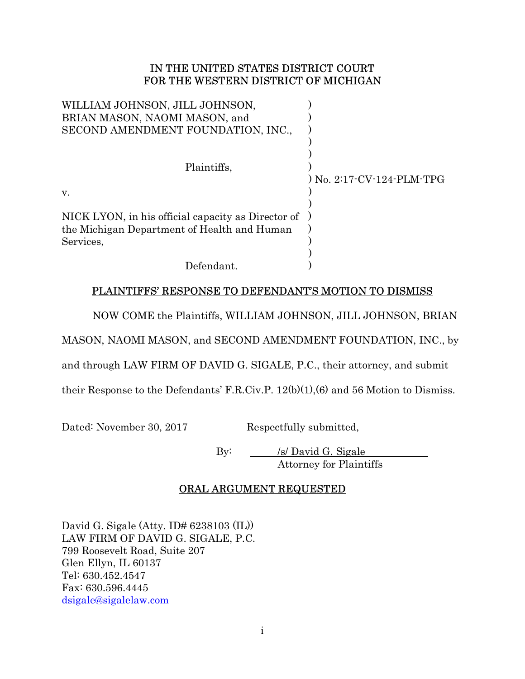## IN THE UNITED STATES DISTRICT COURT FOR THE WESTERN DISTRICT OF MICHIGAN

| WILLIAM JOHNSON, JILL JOHNSON,<br>BRIAN MASON, NAOMI MASON, and<br>SECOND AMENDMENT FOUNDATION, INC.,          |                           |
|----------------------------------------------------------------------------------------------------------------|---------------------------|
| Plaintiffs,<br>V.                                                                                              | ) No. 2:17-CV-124-PLM-TPG |
| NICK LYON, in his official capacity as Director of<br>the Michigan Department of Health and Human<br>Services, |                           |
| Defendant.                                                                                                     |                           |

## PLAINTIFFS' RESPONSE TO DEFENDANT'S MOTION TO DISMISS

NOW COME the Plaintiffs, WILLIAM JOHNSON, JILL JOHNSON, BRIAN

MASON, NAOMI MASON, and SECOND AMENDMENT FOUNDATION, INC., by

and through LAW FIRM OF DAVID G. SIGALE, P.C., their attorney, and submit

their Response to the Defendants' F.R.Civ.P. 12(b)(1),(6) and 56 Motion to Dismiss.

Dated: November 30, 2017 Respectfully submitted,

By: /s/ David G. Sigale Attorney for Plaintiffs

## ORAL ARGUMENT REQUESTED

David G. Sigale (Atty. ID# 6238103 (IL)) LAW FIRM OF DAVID G. SIGALE, P.C. 799 Roosevelt Road, Suite 207 Glen Ellyn, IL 60137 Tel: 630.452.4547 Fax: 630.596.4445 dsigale@sigalelaw.com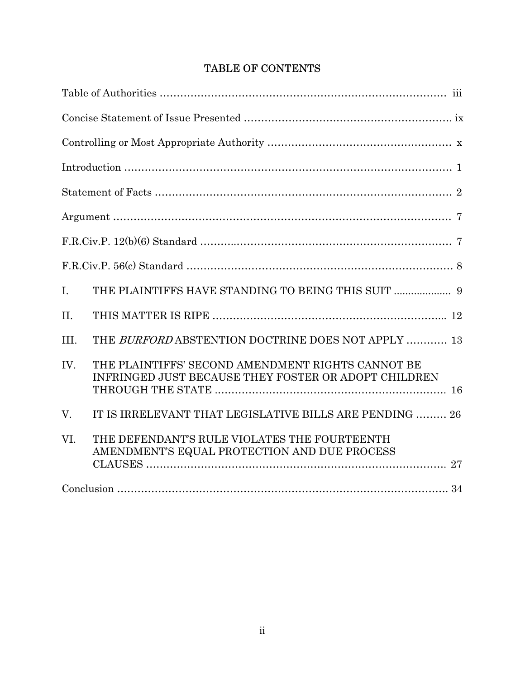# TABLE OF CONTENTS

| $I_{\cdot}$ |                                                                                                           |
|-------------|-----------------------------------------------------------------------------------------------------------|
| II.         |                                                                                                           |
| III.        | THE BURFORD ABSTENTION DOCTRINE DOES NOT APPLY  13                                                        |
| IV.         | THE PLAINTIFFS' SECOND AMENDMENT RIGHTS CANNOT BE<br>INFRINGED JUST BECAUSE THEY FOSTER OR ADOPT CHILDREN |
| V.          | IT IS IRRELEVANT THAT LEGISLATIVE BILLS ARE PENDING  26                                                   |
| VI.         | THE DEFENDANT'S RULE VIOLATES THE FOURTEENTH<br>AMENDMENT'S EQUAL PROTECTION AND DUE PROCESS              |
|             |                                                                                                           |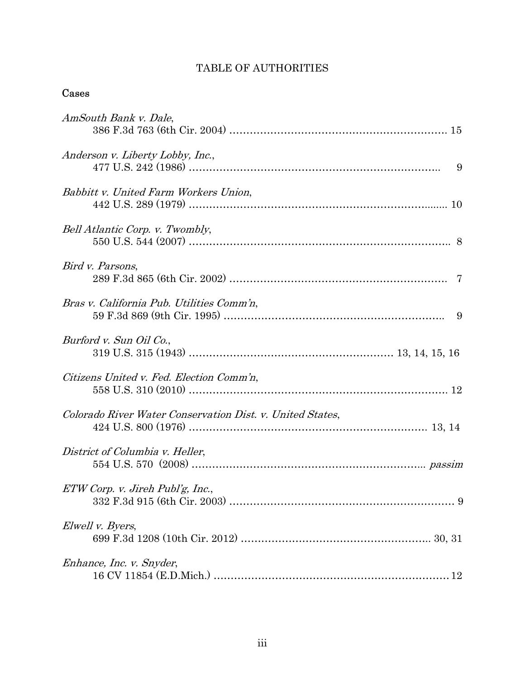# TABLE OF AUTHORITIES

# Cases

| AmSouth Bank v. Dale,                                     |
|-----------------------------------------------------------|
| Anderson v. Liberty Lobby, Inc.,                          |
| Babbitt v. United Farm Workers Union,                     |
| Bell Atlantic Corp. v. Twombly,                           |
| Bird v. Parsons,                                          |
| Bras v. California Pub. Utilities Comm'n,<br>-9           |
| Burford v. Sun Oil Co.,                                   |
| Citizens United v. Fed. Election Comm'n,                  |
| Colorado River Water Conservation Dist. v. United States, |
| District of Columbia v. Heller,                           |
| ETW Corp. v. Jireh Publ'g, Inc.,                          |
| Elwell v. Byers,                                          |
| Enhance, Inc. v. Snyder,                                  |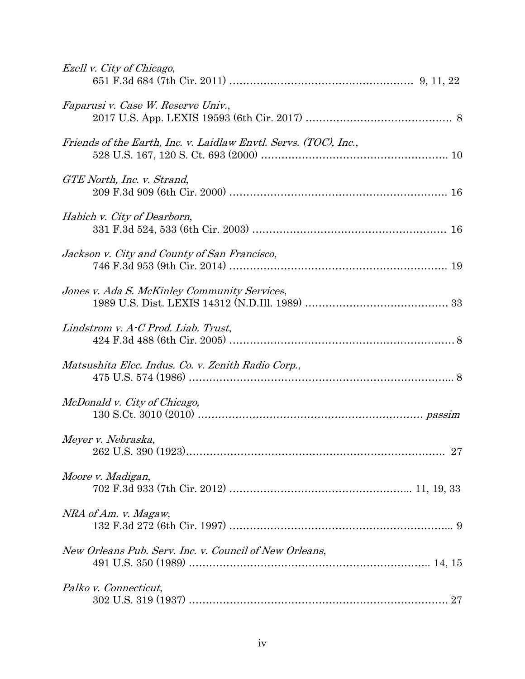| Ezell v. City of Chicago,                                        |
|------------------------------------------------------------------|
| Faparusi v. Case W. Reserve Univ.,                               |
| Friends of the Earth, Inc. v. Laidlaw Envtl. Servs. (TOC), Inc., |
| GTE North, Inc. v. Strand,                                       |
| Habich v. City of Dearborn,                                      |
| Jackson v. City and County of San Francisco,                     |
| Jones v. Ada S. McKinley Community Services,                     |
| Lindstrom v. $A$ -C Prod. Liab. Trust,                           |
| Matsushita Elec. Indus. Co. v. Zenith Radio Corp.,               |
| McDonald v. City of Chicago,                                     |
| Meyer v. Nebraska,                                               |
| Moore v. Madigan,                                                |
| NRA of Am. v. Magaw,                                             |
| New Orleans Pub. Serv. Inc. v. Council of New Orleans,           |
| Palko v. Connecticut,                                            |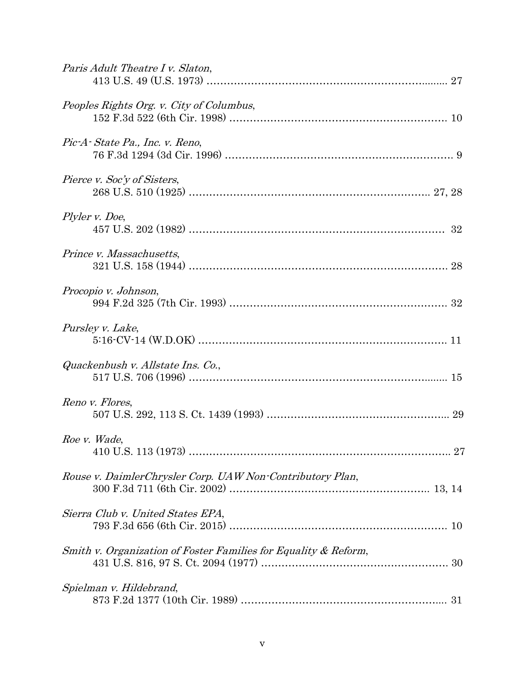| Paris Adult Theatre I v. Slaton,                                |
|-----------------------------------------------------------------|
| Peoples Rights Org. v. City of Columbus,                        |
| Pic-A-State Pa., Inc. v. Reno,                                  |
| Pierce v. Soc'y of Sisters,                                     |
| Plyler v. Doe,                                                  |
| Prince v. Massachusetts,                                        |
| Procopio v. Johnson,                                            |
| Pursley v. Lake,                                                |
| Quackenbush v. Allstate Ins. Co.,                               |
| Reno v. Flores,                                                 |
| Roe v. Wade,                                                    |
| Rouse v. DaimlerChrysler Corp. UAW Non-Contributory Plan,       |
| Sierra Club v. United States EPA,                               |
| Smith v. Organization of Foster Families for Equality & Reform, |
| Spielman v. Hildebrand,                                         |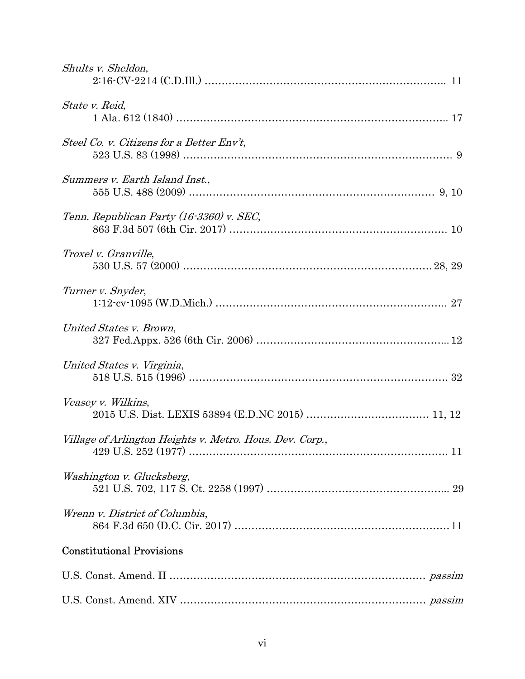| Shults v. Sheldon,                                       |
|----------------------------------------------------------|
| State v. Reid,                                           |
| Steel Co. v. Citizens for a Better Env't,                |
| Summers v. Earth Island Inst.,                           |
| Tenn. Republican Party (16-3360) v. SEC,                 |
| Troxel v. Granville,                                     |
| Turner v. Snyder,                                        |
| United States v. Brown,                                  |
| United States v. Virginia,                               |
| Veasey v. Wilkins,                                       |
| Village of Arlington Heights v. Metro. Hous. Dev. Corp., |
| Washington v. Glucksberg,                                |
| Wrenn v. District of Columbia,                           |
| <b>Constitutional Provisions</b>                         |
|                                                          |
|                                                          |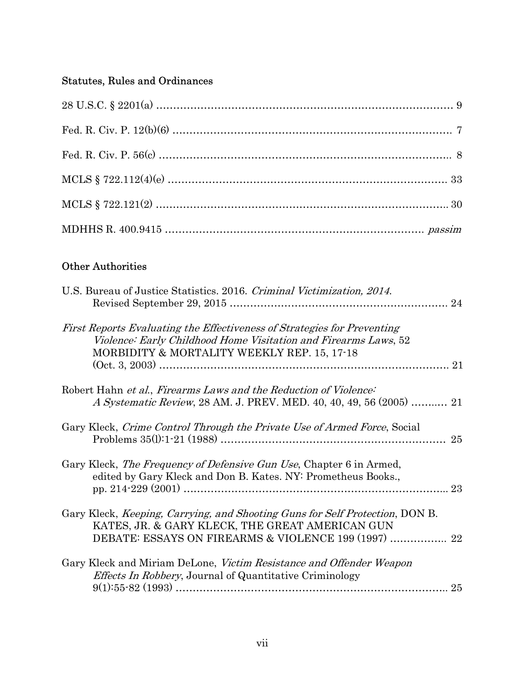## Statutes, Rules and Ordinances

## Other Authorities

| U.S. Bureau of Justice Statistics. 2016. Criminal Victimization, 2014.                                                                                                                          |  |
|-------------------------------------------------------------------------------------------------------------------------------------------------------------------------------------------------|--|
| First Reports Evaluating the Effectiveness of Strategies for Preventing<br>Violence: Early Childhood Home Visitation and Firearms Laws, 52<br>MORBIDITY & MORTALITY WEEKLY REP. 15, 17-18       |  |
| Robert Hahn et al., Firearms Laws and the Reduction of Violence:<br><i>A Systematic Review, 28 AM. J. PREV. MED. 40, 40, 49, 56 (2005) </i> 21                                                  |  |
| Gary Kleck, Crime Control Through the Private Use of Armed Force, Social<br>25                                                                                                                  |  |
| Gary Kleck, <i>The Frequency of Defensive Gun Use</i> , Chapter 6 in Armed,<br>edited by Gary Kleck and Don B. Kates. NY: Prometheus Books.,<br>23                                              |  |
| Gary Kleck, <i>Keeping, Carrying, and Shooting Guns for Self Protection</i> , DON B.<br>KATES, JR. & GARY KLECK, THE GREAT AMERICAN GUN<br>DEBATE: ESSAYS ON FIREARMS & VIOLENCE 199 (1997)  22 |  |
| Gary Kleck and Miriam DeLone, Victim Resistance and Offender Weapon<br><i>Effects In Robbery</i> , Journal of Quantitative Criminology<br>25                                                    |  |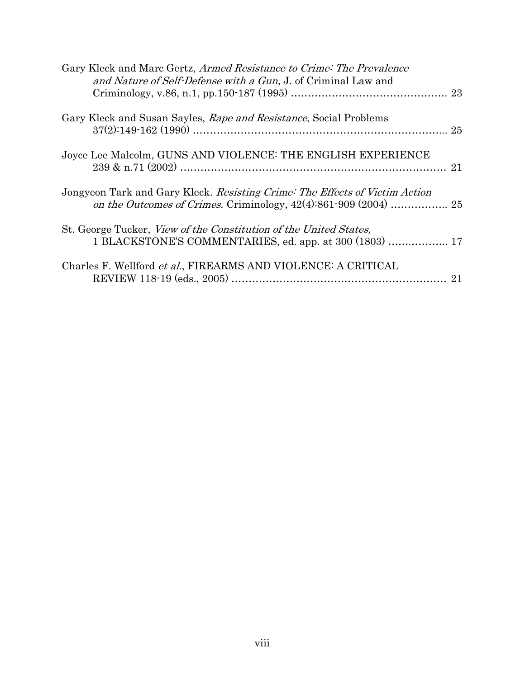| Gary Kleck and Marc Gertz, Armed Resistance to Crime: The Prevalence<br>and Nature of Self-Defense with a Gun, J. of Criminal Law and |  |
|---------------------------------------------------------------------------------------------------------------------------------------|--|
|                                                                                                                                       |  |
| Gary Kleck and Susan Sayles, Rape and Resistance, Social Problems                                                                     |  |
|                                                                                                                                       |  |
| Joyce Lee Malcolm, GUNS AND VIOLENCE: THE ENGLISH EXPERIENCE                                                                          |  |
| Jongyeon Tark and Gary Kleck. Resisting Crime: The Effects of Victim Action                                                           |  |
| St. George Tucker, <i>View of the Constitution of the United States</i> ,<br>1 BLACKSTONE'S COMMENTARIES, ed. app. at 300 (1803)  17  |  |
| Charles F. Wellford et al., FIREARMS AND VIOLENCE: A CRITICAL                                                                         |  |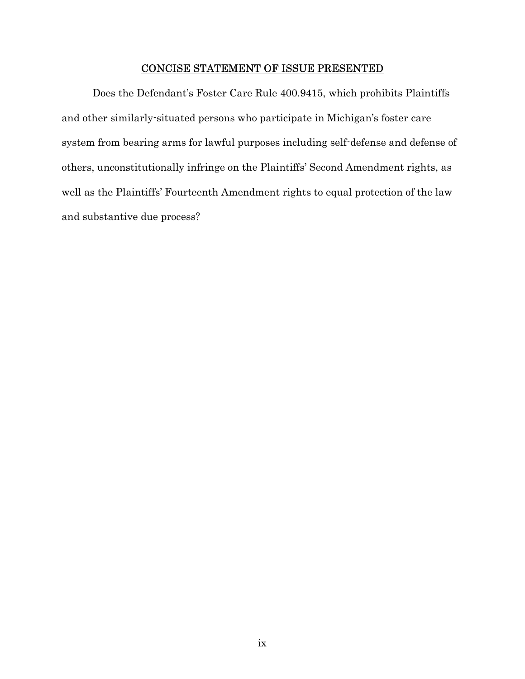## CONCISE STATEMENT OF ISSUE PRESENTED

Does the Defendant's Foster Care Rule 400.9415, which prohibits Plaintiffs and other similarly-situated persons who participate in Michigan's foster care system from bearing arms for lawful purposes including self-defense and defense of others, unconstitutionally infringe on the Plaintiffs' Second Amendment rights, as well as the Plaintiffs' Fourteenth Amendment rights to equal protection of the law and substantive due process?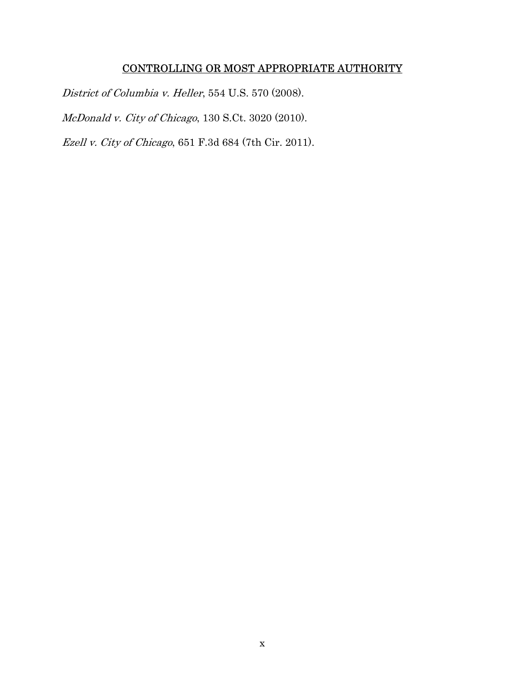## CONTROLLING OR MOST APPROPRIATE AUTHORITY

District of Columbia v. Heller, 554 U.S. 570 (2008).

McDonald v. City of Chicago, 130 S.Ct. 3020 (2010).

Ezell v. City of Chicago, 651 F.3d 684 (7th Cir. 2011).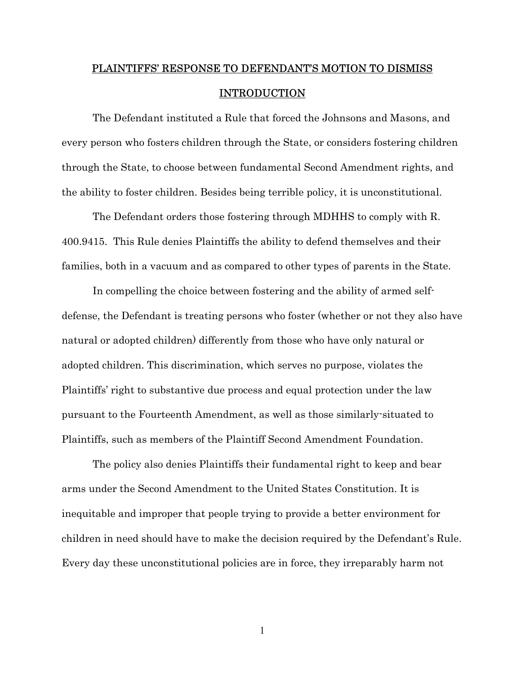# PLAINTIFFS' RESPONSE TO DEFENDANT'S MOTION TO DISMISS INTRODUCTION

The Defendant instituted a Rule that forced the Johnsons and Masons, and every person who fosters children through the State, or considers fostering children through the State, to choose between fundamental Second Amendment rights, and the ability to foster children. Besides being terrible policy, it is unconstitutional.

The Defendant orders those fostering through MDHHS to comply with R. 400.9415. This Rule denies Plaintiffs the ability to defend themselves and their families, both in a vacuum and as compared to other types of parents in the State.

In compelling the choice between fostering and the ability of armed selfdefense, the Defendant is treating persons who foster (whether or not they also have natural or adopted children) differently from those who have only natural or adopted children. This discrimination, which serves no purpose, violates the Plaintiffs' right to substantive due process and equal protection under the law pursuant to the Fourteenth Amendment, as well as those similarly-situated to Plaintiffs, such as members of the Plaintiff Second Amendment Foundation.

The policy also denies Plaintiffs their fundamental right to keep and bear arms under the Second Amendment to the United States Constitution. It is inequitable and improper that people trying to provide a better environment for children in need should have to make the decision required by the Defendant's Rule. Every day these unconstitutional policies are in force, they irreparably harm not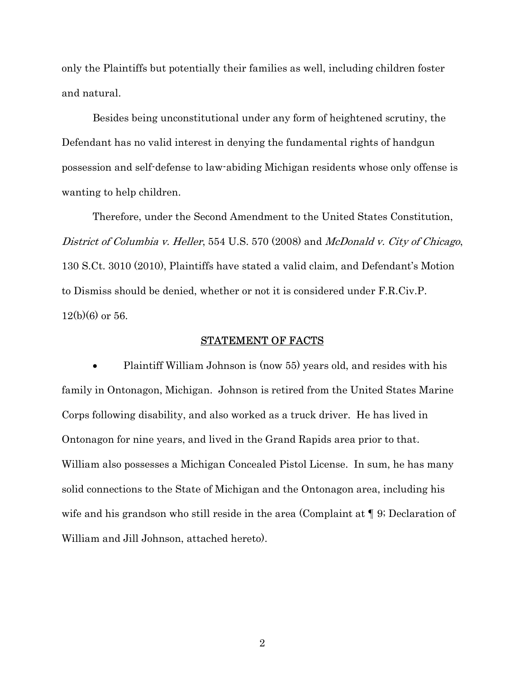only the Plaintiffs but potentially their families as well, including children foster and natural.

Besides being unconstitutional under any form of heightened scrutiny, the Defendant has no valid interest in denying the fundamental rights of handgun possession and self-defense to law-abiding Michigan residents whose only offense is wanting to help children.

Therefore, under the Second Amendment to the United States Constitution, District of Columbia v. Heller, 554 U.S. 570 (2008) and McDonald v. City of Chicago, 130 S.Ct. 3010 (2010), Plaintiffs have stated a valid claim, and Defendant's Motion to Dismiss should be denied, whether or not it is considered under F.R.Civ.P.  $12(b)(6)$  or 56.

#### STATEMENT OF FACTS

 Plaintiff William Johnson is (now 55) years old, and resides with his family in Ontonagon, Michigan. Johnson is retired from the United States Marine Corps following disability, and also worked as a truck driver. He has lived in Ontonagon for nine years, and lived in the Grand Rapids area prior to that. William also possesses a Michigan Concealed Pistol License. In sum, he has many solid connections to the State of Michigan and the Ontonagon area, including his wife and his grandson who still reside in the area (Complaint at  $\P$  9; Declaration of William and Jill Johnson, attached hereto).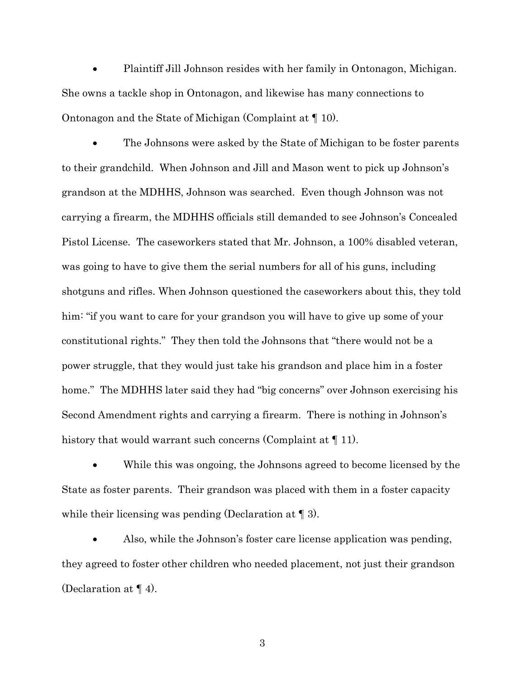Plaintiff Jill Johnson resides with her family in Ontonagon, Michigan. She owns a tackle shop in Ontonagon, and likewise has many connections to Ontonagon and the State of Michigan (Complaint at ¶ 10).

 The Johnsons were asked by the State of Michigan to be foster parents to their grandchild. When Johnson and Jill and Mason went to pick up Johnson's grandson at the MDHHS, Johnson was searched. Even though Johnson was not carrying a firearm, the MDHHS officials still demanded to see Johnson's Concealed Pistol License. The caseworkers stated that Mr. Johnson, a 100% disabled veteran, was going to have to give them the serial numbers for all of his guns, including shotguns and rifles. When Johnson questioned the caseworkers about this, they told him: "if you want to care for your grandson you will have to give up some of your constitutional rights." They then told the Johnsons that "there would not be a power struggle, that they would just take his grandson and place him in a foster home." The MDHHS later said they had "big concerns" over Johnson exercising his Second Amendment rights and carrying a firearm. There is nothing in Johnson's history that would warrant such concerns (Complaint at  $\P$  11).

 While this was ongoing, the Johnsons agreed to become licensed by the State as foster parents. Their grandson was placed with them in a foster capacity while their licensing was pending (Declaration at  $\P$  3).

 Also, while the Johnson's foster care license application was pending, they agreed to foster other children who needed placement, not just their grandson (Declaration at ¶ 4).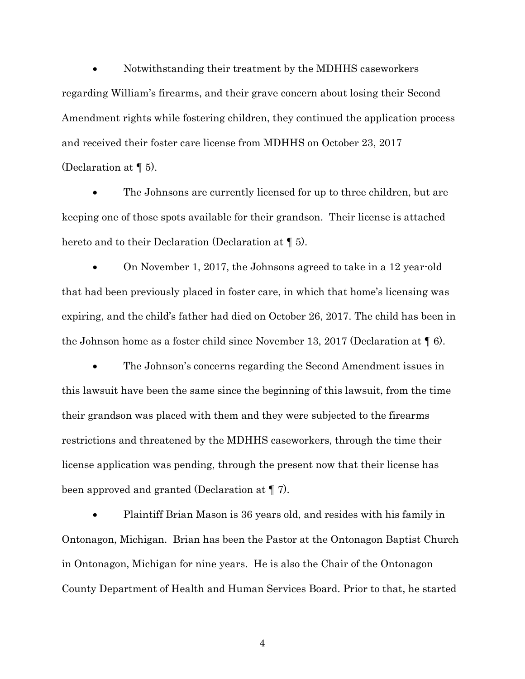Notwithstanding their treatment by the MDHHS caseworkers regarding William's firearms, and their grave concern about losing their Second Amendment rights while fostering children, they continued the application process and received their foster care license from MDHHS on October 23, 2017 (Declaration at ¶ 5).

 The Johnsons are currently licensed for up to three children, but are keeping one of those spots available for their grandson. Their license is attached hereto and to their Declaration (Declaration at ¶ 5).

 On November 1, 2017, the Johnsons agreed to take in a 12 year-old that had been previously placed in foster care, in which that home's licensing was expiring, and the child's father had died on October 26, 2017. The child has been in the Johnson home as a foster child since November 13, 2017 (Declaration at ¶ 6).

 The Johnson's concerns regarding the Second Amendment issues in this lawsuit have been the same since the beginning of this lawsuit, from the time their grandson was placed with them and they were subjected to the firearms restrictions and threatened by the MDHHS caseworkers, through the time their license application was pending, through the present now that their license has been approved and granted (Declaration at ¶ 7).

 Plaintiff Brian Mason is 36 years old, and resides with his family in Ontonagon, Michigan. Brian has been the Pastor at the Ontonagon Baptist Church in Ontonagon, Michigan for nine years. He is also the Chair of the Ontonagon County Department of Health and Human Services Board. Prior to that, he started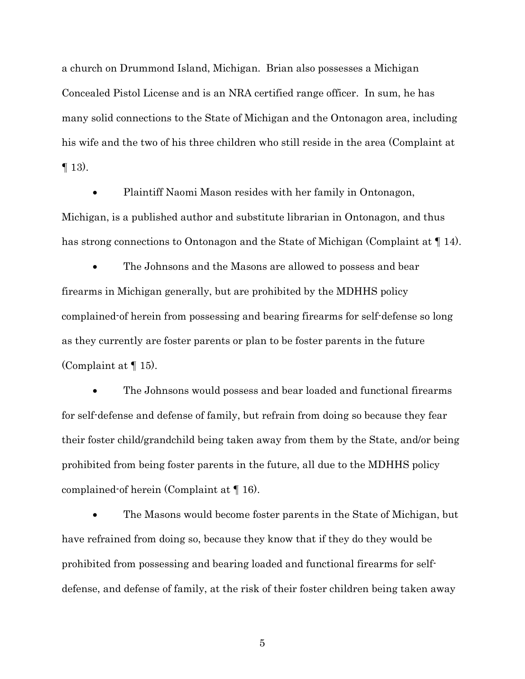a church on Drummond Island, Michigan. Brian also possesses a Michigan Concealed Pistol License and is an NRA certified range officer. In sum, he has many solid connections to the State of Michigan and the Ontonagon area, including his wife and the two of his three children who still reside in the area (Complaint at  $\P$  13).

 Plaintiff Naomi Mason resides with her family in Ontonagon, Michigan, is a published author and substitute librarian in Ontonagon, and thus has strong connections to Ontonagon and the State of Michigan (Complaint at  $\P$  14).

 The Johnsons and the Masons are allowed to possess and bear firearms in Michigan generally, but are prohibited by the MDHHS policy complained-of herein from possessing and bearing firearms for self-defense so long as they currently are foster parents or plan to be foster parents in the future (Complaint at ¶ 15).

 The Johnsons would possess and bear loaded and functional firearms for self-defense and defense of family, but refrain from doing so because they fear their foster child/grandchild being taken away from them by the State, and/or being prohibited from being foster parents in the future, all due to the MDHHS policy complained-of herein (Complaint at ¶ 16).

 The Masons would become foster parents in the State of Michigan, but have refrained from doing so, because they know that if they do they would be prohibited from possessing and bearing loaded and functional firearms for selfdefense, and defense of family, at the risk of their foster children being taken away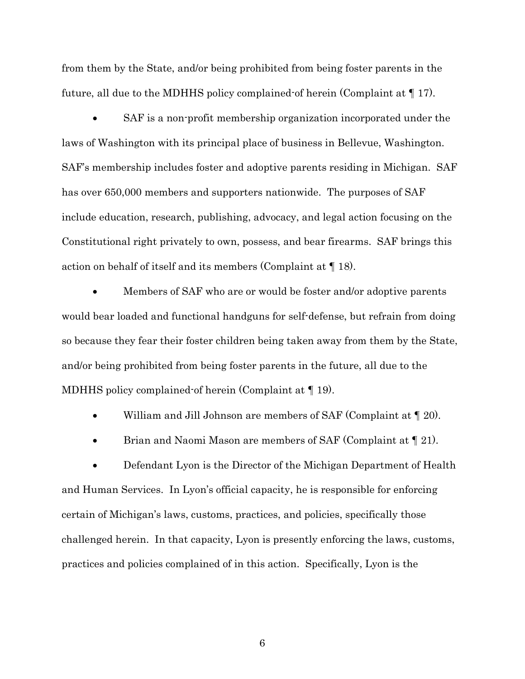from them by the State, and/or being prohibited from being foster parents in the future, all due to the MDHHS policy complained-of herein (Complaint at ¶ 17).

 SAF is a non-profit membership organization incorporated under the laws of Washington with its principal place of business in Bellevue, Washington. SAF's membership includes foster and adoptive parents residing in Michigan. SAF has over 650,000 members and supporters nationwide. The purposes of SAF include education, research, publishing, advocacy, and legal action focusing on the Constitutional right privately to own, possess, and bear firearms. SAF brings this action on behalf of itself and its members (Complaint at ¶ 18).

 Members of SAF who are or would be foster and/or adoptive parents would bear loaded and functional handguns for self-defense, but refrain from doing so because they fear their foster children being taken away from them by the State, and/or being prohibited from being foster parents in the future, all due to the MDHHS policy complained-of herein (Complaint at ¶ 19).

William and Jill Johnson are members of SAF (Complaint at ¶ 20).

 $\bullet$  Brian and Naomi Mason are members of SAF (Complaint at  $\P$  21).

 Defendant Lyon is the Director of the Michigan Department of Health and Human Services. In Lyon's official capacity, he is responsible for enforcing certain of Michigan's laws, customs, practices, and policies, specifically those challenged herein. In that capacity, Lyon is presently enforcing the laws, customs, practices and policies complained of in this action. Specifically, Lyon is the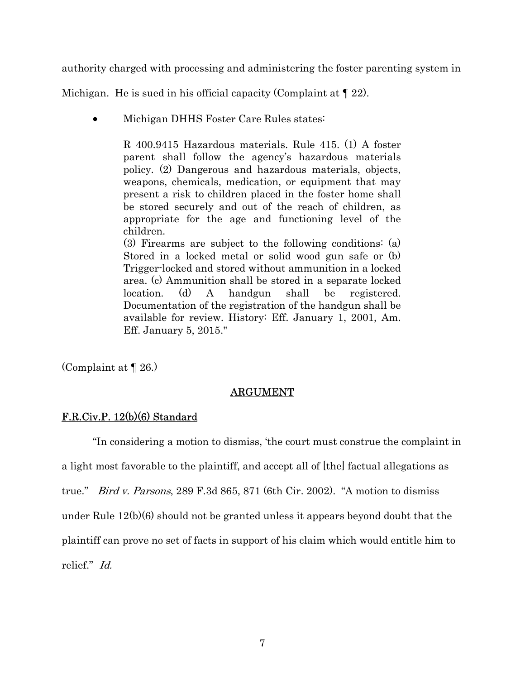authority charged with processing and administering the foster parenting system in

Michigan. He is sued in his official capacity (Complaint at ¶ 22).

Michigan DHHS Foster Care Rules states:

R 400.9415 Hazardous materials. Rule 415. (1) A foster parent shall follow the agency's hazardous materials policy. (2) Dangerous and hazardous materials, objects, weapons, chemicals, medication, or equipment that may present a risk to children placed in the foster home shall be stored securely and out of the reach of children, as appropriate for the age and functioning level of the children.

(3) Firearms are subject to the following conditions: (a) Stored in a locked metal or solid wood gun safe or (b) Trigger-locked and stored without ammunition in a locked area. (c) Ammunition shall be stored in a separate locked location. (d) A handgun shall be registered. Documentation of the registration of the handgun shall be available for review. History: Eff. January 1, 2001, Am. Eff. January 5, 2015."

(Complaint at ¶ 26.)

#### ARGUMENT

#### F.R.Civ.P. 12(b)(6) Standard

 "In considering a motion to dismiss, 'the court must construe the complaint in a light most favorable to the plaintiff, and accept all of [the] factual allegations as true." Bird v. Parsons, 289 F.3d 865, 871 (6th Cir. 2002). "A motion to dismiss under Rule 12(b)(6) should not be granted unless it appears beyond doubt that the plaintiff can prove no set of facts in support of his claim which would entitle him to relief." Id.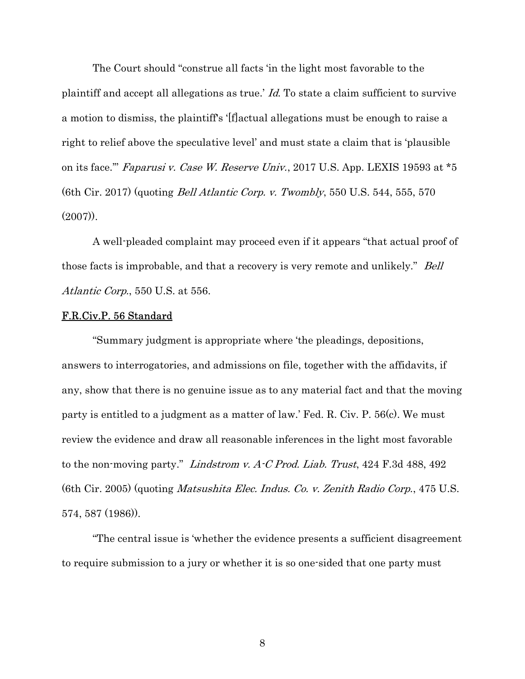The Court should "construe all facts 'in the light most favorable to the plaintiff and accept all allegations as true.' Id. To state a claim sufficient to survive a motion to dismiss, the plaintiff's '[f]actual allegations must be enough to raise a right to relief above the speculative level' and must state a claim that is 'plausible on its face.'" Faparusi v. Case W. Reserve Univ., 2017 U.S. App. LEXIS 19593 at \*5 (6th Cir. 2017) (quoting Bell Atlantic Corp. v. Twombly, 550 U.S. 544, 555, 570  $(2007)$ .

A well-pleaded complaint may proceed even if it appears "that actual proof of those facts is improbable, and that a recovery is very remote and unlikely." *Bell* Atlantic Corp., 550 U.S. at 556.

#### F.R.Civ.P. 56 Standard

 "Summary judgment is appropriate where 'the pleadings, depositions, answers to interrogatories, and admissions on file, together with the affidavits, if any, show that there is no genuine issue as to any material fact and that the moving party is entitled to a judgment as a matter of law.' Fed. R. Civ. P. 56(c). We must review the evidence and draw all reasonable inferences in the light most favorable to the non-moving party." Lindstrom v.  $A\text{-}C$  Prod. Liab. Trust, 424 F.3d 488, 492 (6th Cir. 2005) (quoting Matsushita Elec. Indus. Co. v. Zenith Radio Corp., 475 U.S. 574, 587 (1986)).

 "The central issue is 'whether the evidence presents a sufficient disagreement to require submission to a jury or whether it is so one-sided that one party must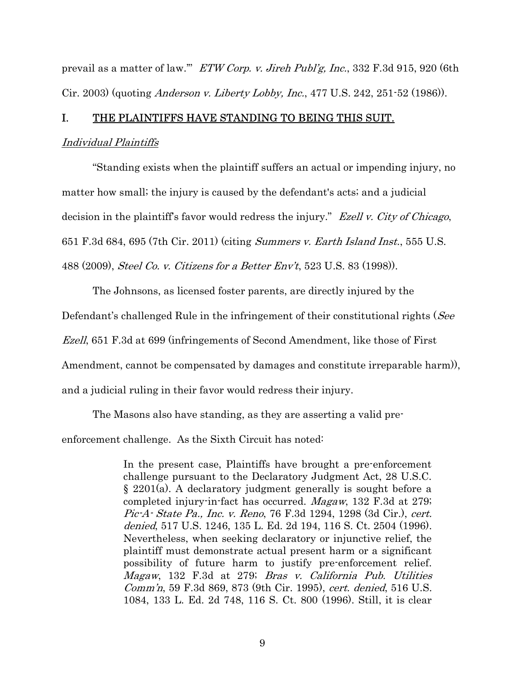prevail as a matter of law.'" ETW Corp. v. Jireh Publ'g, Inc., 332 F.3d 915, 920 (6th Cir. 2003) (quoting Anderson v. Liberty Lobby, Inc., 477 U.S. 242, 251-52 (1986)).

#### I. THE PLAINTIFFS HAVE STANDING TO BEING THIS SUIT.

#### Individual Plaintiffs

 "Standing exists when the plaintiff suffers an actual or impending injury, no matter how small; the injury is caused by the defendant's acts; and a judicial decision in the plaintiff's favor would redress the injury." Ezell v. City of Chicago, 651 F.3d 684, 695 (7th Cir. 2011) (citing Summers v. Earth Island Inst., 555 U.S. 488 (2009), Steel Co. v. Citizens for a Better Env't, 523 U.S. 83 (1998)).

 The Johnsons, as licensed foster parents, are directly injured by the Defendant's challenged Rule in the infringement of their constitutional rights (See Ezell, 651 F.3d at 699 (infringements of Second Amendment, like those of First Amendment, cannot be compensated by damages and constitute irreparable harm)), and a judicial ruling in their favor would redress their injury.

The Masons also have standing, as they are asserting a valid pre-

enforcement challenge. As the Sixth Circuit has noted:

In the present case, Plaintiffs have brought a pre-enforcement challenge pursuant to the Declaratory Judgment Act, 28 U.S.C. § 2201(a). A declaratory judgment generally is sought before a completed injury-in-fact has occurred. Magaw, 132 F.3d at 279; Pic-A- State Pa., Inc. v. Reno, 76 F.3d 1294, 1298 (3d Cir.), cert. denied, 517 U.S. 1246, 135 L. Ed. 2d 194, 116 S. Ct. 2504 (1996). Nevertheless, when seeking declaratory or injunctive relief, the plaintiff must demonstrate actual present harm or a significant possibility of future harm to justify pre-enforcement relief. Magaw, 132 F.3d at 279; Bras v. California Pub. Utilities Comm'n, 59 F.3d 869, 873 (9th Cir. 1995), cert. denied, 516 U.S. 1084, 133 L. Ed. 2d 748, 116 S. Ct. 800 (1996). Still, it is clear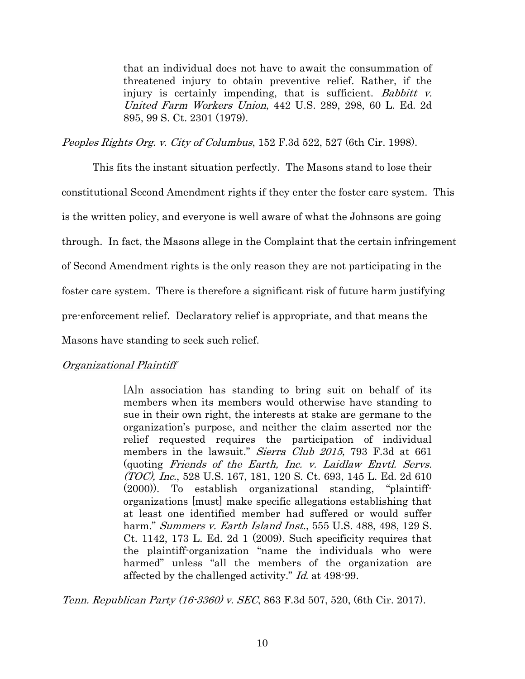that an individual does not have to await the consummation of threatened injury to obtain preventive relief. Rather, if the injury is certainly impending, that is sufficient. Babbitt v. United Farm Workers Union, 442 U.S. 289, 298, 60 L. Ed. 2d 895, 99 S. Ct. 2301 (1979).

Peoples Rights Org. v. City of Columbus, 152 F.3d 522, 527 (6th Cir. 1998).

 This fits the instant situation perfectly. The Masons stand to lose their constitutional Second Amendment rights if they enter the foster care system. This is the written policy, and everyone is well aware of what the Johnsons are going through. In fact, the Masons allege in the Complaint that the certain infringement of Second Amendment rights is the only reason they are not participating in the foster care system. There is therefore a significant risk of future harm justifying pre-enforcement relief. Declaratory relief is appropriate, and that means the Masons have standing to seek such relief.

## Organizational Plaintiff

[A]n association has standing to bring suit on behalf of its members when its members would otherwise have standing to sue in their own right, the interests at stake are germane to the organization's purpose, and neither the claim asserted nor the relief requested requires the participation of individual members in the lawsuit." Sierra Club 2015, 793 F.3d at 661 (quoting Friends of the Earth, Inc. v. Laidlaw Envtl. Servs. (TOC), Inc., 528 U.S. 167, 181, 120 S. Ct. 693, 145 L. Ed. 2d 610 (2000)). To establish organizational standing, "plaintifforganizations [must] make specific allegations establishing that at least one identified member had suffered or would suffer harm." *Summers v. Earth Island Inst.*, 555 U.S. 488, 498, 129 S. Ct. 1142, 173 L. Ed. 2d 1 (2009). Such specificity requires that the plaintiff-organization "name the individuals who were harmed" unless "all the members of the organization are affected by the challenged activity." Id. at 498-99.

Tenn. Republican Party (16-3360) v. SEC, 863 F.3d 507, 520, (6th Cir. 2017).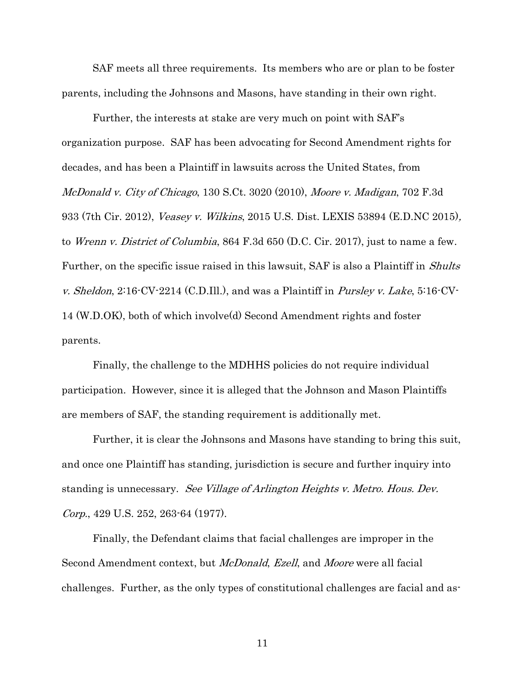SAF meets all three requirements. Its members who are or plan to be foster parents, including the Johnsons and Masons, have standing in their own right.

Further, the interests at stake are very much on point with SAF's organization purpose. SAF has been advocating for Second Amendment rights for decades, and has been a Plaintiff in lawsuits across the United States, from McDonald v. City of Chicago, 130 S.Ct. 3020 (2010), Moore v. Madigan, 702 F.3d 933 (7th Cir. 2012), Veasey v. Wilkins, 2015 U.S. Dist. LEXIS 53894 (E.D.NC 2015), to Wrenn v. District of Columbia, 864 F.3d 650 (D.C. Cir. 2017), just to name a few. Further, on the specific issue raised in this lawsuit, SAF is also a Plaintiff in *Shults* v. Sheldon,  $2:16$ <sup>-</sup>CV<sup>-</sup> $2214$  (C.D.Ill.), and was a Plaintiff in *Pursley v. Lake*,  $5:16$ <sup>-</sup>CV<sup>-</sup> 14 (W.D.OK), both of which involve(d) Second Amendment rights and foster parents.

Finally, the challenge to the MDHHS policies do not require individual participation. However, since it is alleged that the Johnson and Mason Plaintiffs are members of SAF, the standing requirement is additionally met.

Further, it is clear the Johnsons and Masons have standing to bring this suit, and once one Plaintiff has standing, jurisdiction is secure and further inquiry into standing is unnecessary. See Village of Arlington Heights v. Metro. Hous. Dev. Corp., 429 U.S. 252, 263-64 (1977).

Finally, the Defendant claims that facial challenges are improper in the Second Amendment context, but *McDonald, Ezell*, and *Moore* were all facial challenges. Further, as the only types of constitutional challenges are facial and as-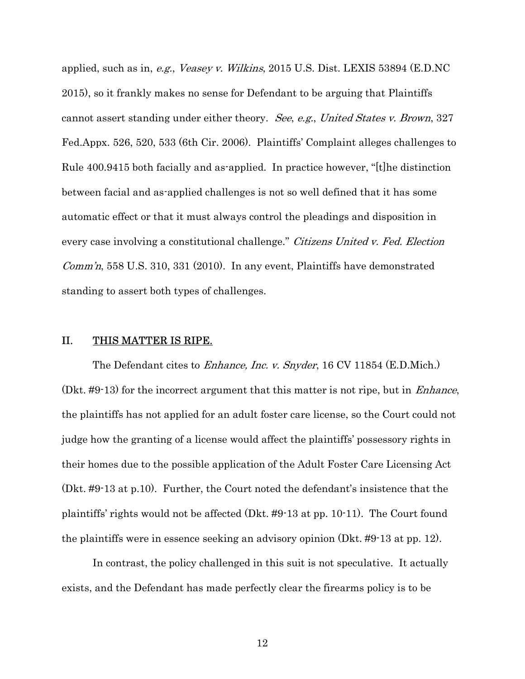applied, such as in, e.g., Veasey v. Wilkins, 2015 U.S. Dist. LEXIS 53894 (E.D.NC 2015), so it frankly makes no sense for Defendant to be arguing that Plaintiffs cannot assert standing under either theory. See, e.g., United States v. Brown, 327 Fed.Appx. 526, 520, 533 (6th Cir. 2006). Plaintiffs' Complaint alleges challenges to Rule 400.9415 both facially and as-applied. In practice however, "[t]he distinction between facial and as-applied challenges is not so well defined that it has some automatic effect or that it must always control the pleadings and disposition in every case involving a constitutional challenge." Citizens United v. Fed. Election *Comm'n*, 558 U.S. 310, 331 (2010). In any event, Plaintiffs have demonstrated standing to assert both types of challenges.

#### II. THIS MATTER IS RIPE.

The Defendant cites to *Enhance, Inc. v. Snyder*, 16 CV 11854 (E.D.Mich.) (Dkt. #9-13) for the incorrect argument that this matter is not ripe, but in Enhance, the plaintiffs has not applied for an adult foster care license, so the Court could not judge how the granting of a license would affect the plaintiffs' possessory rights in their homes due to the possible application of the Adult Foster Care Licensing Act (Dkt. #9-13 at p.10). Further, the Court noted the defendant's insistence that the plaintiffs' rights would not be affected (Dkt. #9-13 at pp. 10-11). The Court found the plaintiffs were in essence seeking an advisory opinion (Dkt. #9-13 at pp. 12).

 In contrast, the policy challenged in this suit is not speculative. It actually exists, and the Defendant has made perfectly clear the firearms policy is to be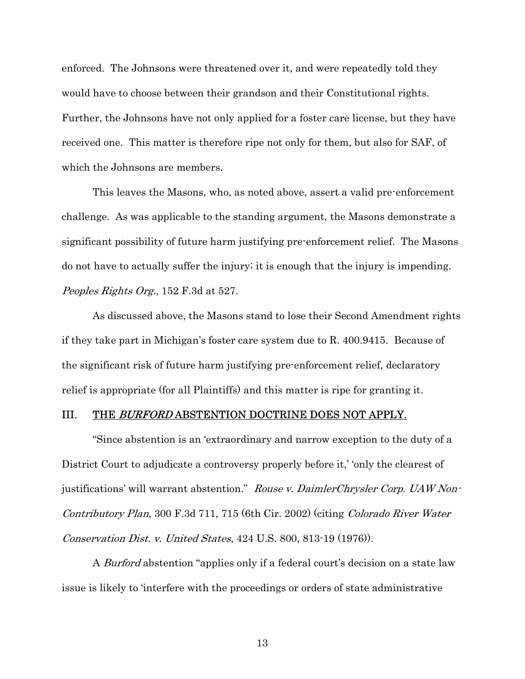enforced. The Johnsons were threatened over it, and were repeatedly told they would have to choose between their grandson and their Constitutional rights. Further, the Johnsons have not only applied for a foster care license, but they have received one. This matter is therefore ripe not only for them, but also for SAF, of which the Johnsons are members.

 This leaves the Masons, who, as noted above, assert a valid pre-enforcement challenge. As was applicable to the standing argument, the Masons demonstrate a significant possibility of future harm justifying pre-enforcement relief. The Masons do not have to actually suffer the injury; it is enough that the injury is impending. Peoples Rights Org., 152 F.3d at 527.

 As discussed above, the Masons stand to lose their Second Amendment rights if they take part in Michigan's foster care system due to R. 400.9415. Because of the significant risk of future harm justifying pre-enforcement relief, declaratory relief is appropriate (for all Plaintiffs) and this matter is ripe for granting it.

#### III. THE BURFORD ABSTENTION DOCTRINE DOES NOT APPLY.

"Since abstention is an 'extraordinary and narrow exception to the duty of a District Court to adjudicate a controversy properly before it,' 'only the clearest of justifications' will warrant abstention." Rouse v. DaimlerChrysler Corp. UAW Non-Contributory Plan, 300 F.3d 711, 715 (6th Cir. 2002) (citing Colorado River Water Conservation Dist. v. United States, 424 U.S. 800, 813-19 (1976)).

A *Burford* abstention "applies only if a federal court's decision on a state law issue is likely to 'interfere with the proceedings or orders of state administrative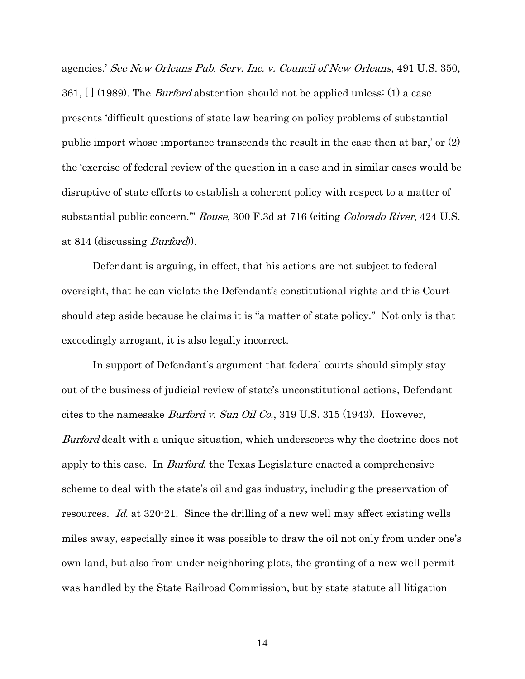agencies.' See New Orleans Pub. Serv. Inc. v. Council of New Orleans, 491 U.S. 350, 361, [] (1989). The *Burford* abstention should not be applied unless: (1) a case presents 'difficult questions of state law bearing on policy problems of substantial public import whose importance transcends the result in the case then at bar,' or (2) the 'exercise of federal review of the question in a case and in similar cases would be disruptive of state efforts to establish a coherent policy with respect to a matter of substantial public concern.'" Rouse, 300 F.3d at 716 (citing Colorado River, 424 U.S. at 814 (discussing Burford)).

Defendant is arguing, in effect, that his actions are not subject to federal oversight, that he can violate the Defendant's constitutional rights and this Court should step aside because he claims it is "a matter of state policy." Not only is that exceedingly arrogant, it is also legally incorrect.

In support of Defendant's argument that federal courts should simply stay out of the business of judicial review of state's unconstitutional actions, Defendant cites to the namesake Burford v. Sun Oil Co., 319 U.S. 315 (1943). However, Burford dealt with a unique situation, which underscores why the doctrine does not apply to this case. In *Burford*, the Texas Legislature enacted a comprehensive scheme to deal with the state's oil and gas industry, including the preservation of resources. Id. at 320-21. Since the drilling of a new well may affect existing wells miles away, especially since it was possible to draw the oil not only from under one's own land, but also from under neighboring plots, the granting of a new well permit was handled by the State Railroad Commission, but by state statute all litigation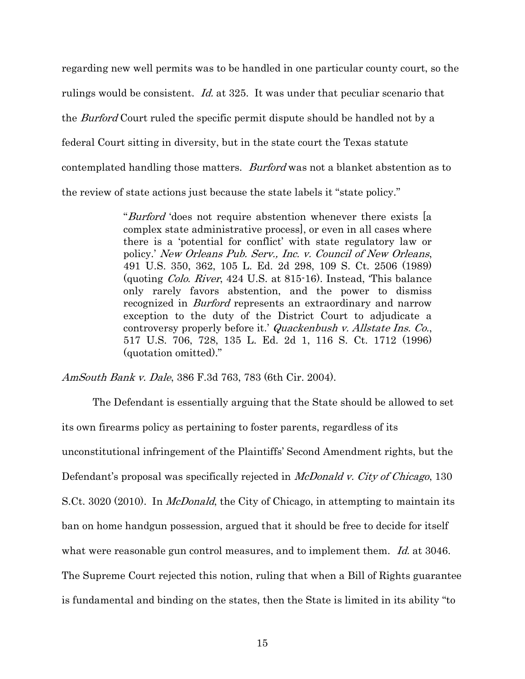regarding new well permits was to be handled in one particular county court, so the rulings would be consistent. Id. at 325. It was under that peculiar scenario that the *Burford* Court ruled the specific permit dispute should be handled not by a federal Court sitting in diversity, but in the state court the Texas statute contemplated handling those matters. Burford was not a blanket abstention as to the review of state actions just because the state labels it "state policy."

> "*Burford* 'does not require abstention whenever there exists [a complex state administrative process], or even in all cases where there is a 'potential for conflict' with state regulatory law or policy.' New Orleans Pub. Serv., Inc. v. Council of New Orleans, 491 U.S. 350, 362, 105 L. Ed. 2d 298, 109 S. Ct. 2506 (1989) (quoting Colo. River, 424 U.S. at 815-16). Instead, 'This balance only rarely favors abstention, and the power to dismiss recognized in *Burford* represents an extraordinary and narrow exception to the duty of the District Court to adjudicate a controversy properly before it.' Quackenbush v. Allstate Ins. Co., 517 U.S. 706, 728, 135 L. Ed. 2d 1, 116 S. Ct. 1712 (1996) (quotation omitted)."

AmSouth Bank v. Dale, 386 F.3d 763, 783 (6th Cir. 2004).

The Defendant is essentially arguing that the State should be allowed to set its own firearms policy as pertaining to foster parents, regardless of its unconstitutional infringement of the Plaintiffs' Second Amendment rights, but the Defendant's proposal was specifically rejected in *McDonald v. City of Chicago*, 130 S.Ct. 3020 (2010). In *McDonald*, the City of Chicago, in attempting to maintain its ban on home handgun possession, argued that it should be free to decide for itself what were reasonable gun control measures, and to implement them. Id. at 3046. The Supreme Court rejected this notion, ruling that when a Bill of Rights guarantee is fundamental and binding on the states, then the State is limited in its ability "to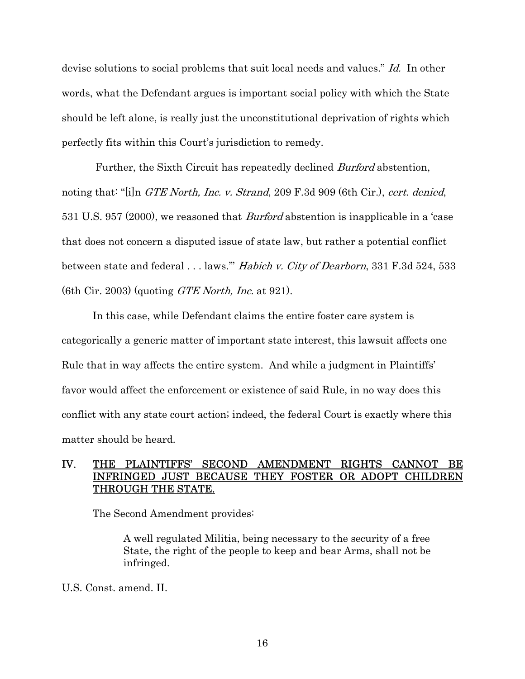devise solutions to social problems that suit local needs and values." Id. In other words, what the Defendant argues is important social policy with which the State should be left alone, is really just the unconstitutional deprivation of rights which perfectly fits within this Court's jurisdiction to remedy.

Further, the Sixth Circuit has repeatedly declined *Burford* abstention, noting that: "[i]n *GTE North, Inc. v. Strand*, 209 F.3d 909 (6th Cir.), *cert. denied*, 531 U.S. 957 (2000), we reasoned that Burford abstention is inapplicable in a 'case that does not concern a disputed issue of state law, but rather a potential conflict between state and federal . . . laws." *Habich v. City of Dearborn*, 331 F.3d 524, 533 (6th Cir. 2003) (quoting *GTE North, Inc.* at 921).

In this case, while Defendant claims the entire foster care system is categorically a generic matter of important state interest, this lawsuit affects one Rule that in way affects the entire system. And while a judgment in Plaintiffs' favor would affect the enforcement or existence of said Rule, in no way does this conflict with any state court action; indeed, the federal Court is exactly where this matter should be heard.

## IV. THE PLAINTIFFS' SECOND AMENDMENT RIGHTS CANNOT BE INFRINGED JUST BECAUSE THEY FOSTER OR ADOPT CHILDREN THROUGH THE STATE.

The Second Amendment provides:

A well regulated Militia, being necessary to the security of a free State, the right of the people to keep and bear Arms, shall not be infringed.

U.S. Const. amend. II.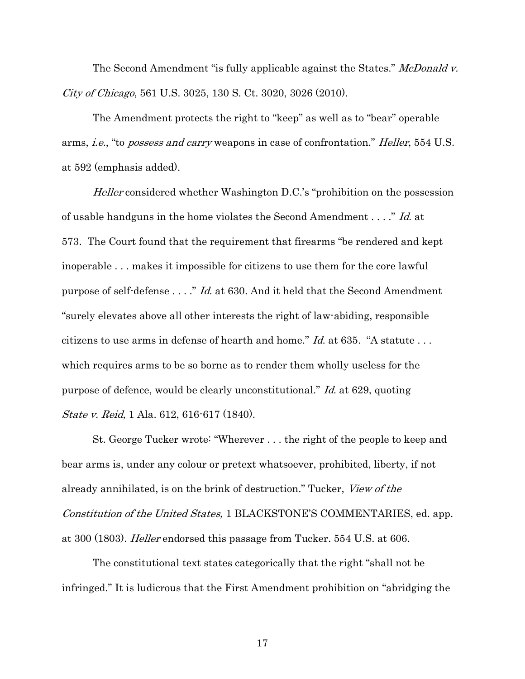The Second Amendment "is fully applicable against the States." McDonald v. City of Chicago, 561 U.S. 3025, 130 S. Ct. 3020, 3026 (2010).

 The Amendment protects the right to "keep" as well as to "bear" operable arms, i.e., "to possess and carry weapons in case of confrontation." Heller, 554 U.S. at 592 (emphasis added).

Heller considered whether Washington D.C.'s "prohibition on the possession" of usable handguns in the home violates the Second Amendment . . . ." Id. at 573. The Court found that the requirement that firearms "be rendered and kept inoperable . . . makes it impossible for citizens to use them for the core lawful purpose of self-defense . . . ." Id. at 630. And it held that the Second Amendment "surely elevates above all other interests the right of law-abiding, responsible citizens to use arms in defense of hearth and home."  $Id$  at 635. "A statute ... which requires arms to be so borne as to render them wholly useless for the purpose of defence, would be clearly unconstitutional." Id. at 629, quoting State v. Reid, 1 Ala. 612, 616-617 (1840).

St. George Tucker wrote: "Wherever . . . the right of the people to keep and bear arms is, under any colour or pretext whatsoever, prohibited, liberty, if not already annihilated, is on the brink of destruction." Tucker, View of the Constitution of the United States, 1 BLACKSTONE'S COMMENTARIES, ed. app. at 300 (1803). Heller endorsed this passage from Tucker. 554 U.S. at 606.

The constitutional text states categorically that the right "shall not be infringed." It is ludicrous that the First Amendment prohibition on "abridging the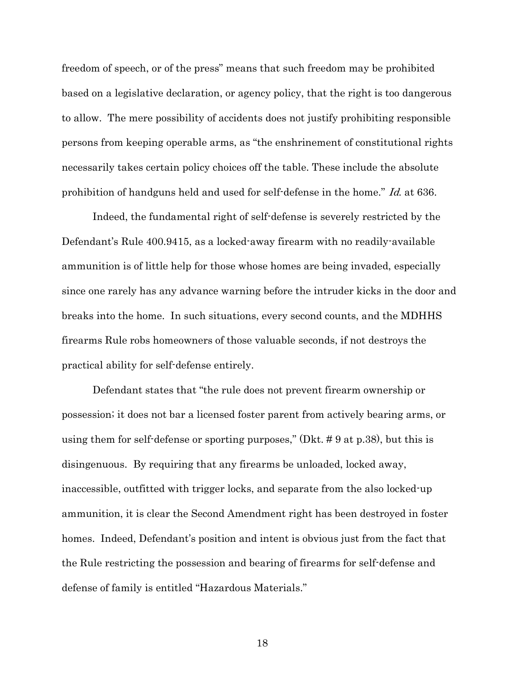freedom of speech, or of the press" means that such freedom may be prohibited based on a legislative declaration, or agency policy, that the right is too dangerous to allow. The mere possibility of accidents does not justify prohibiting responsible persons from keeping operable arms, as "the enshrinement of constitutional rights necessarily takes certain policy choices off the table. These include the absolute prohibition of handguns held and used for self-defense in the home." Id. at 636.

 Indeed, the fundamental right of self-defense is severely restricted by the Defendant's Rule 400.9415, as a locked-away firearm with no readily-available ammunition is of little help for those whose homes are being invaded, especially since one rarely has any advance warning before the intruder kicks in the door and breaks into the home. In such situations, every second counts, and the MDHHS firearms Rule robs homeowners of those valuable seconds, if not destroys the practical ability for self-defense entirely.

 Defendant states that "the rule does not prevent firearm ownership or possession; it does not bar a licensed foster parent from actively bearing arms, or using them for self-defense or sporting purposes," (Dkt. # 9 at p.38), but this is disingenuous. By requiring that any firearms be unloaded, locked away, inaccessible, outfitted with trigger locks, and separate from the also locked-up ammunition, it is clear the Second Amendment right has been destroyed in foster homes. Indeed, Defendant's position and intent is obvious just from the fact that the Rule restricting the possession and bearing of firearms for self-defense and defense of family is entitled "Hazardous Materials."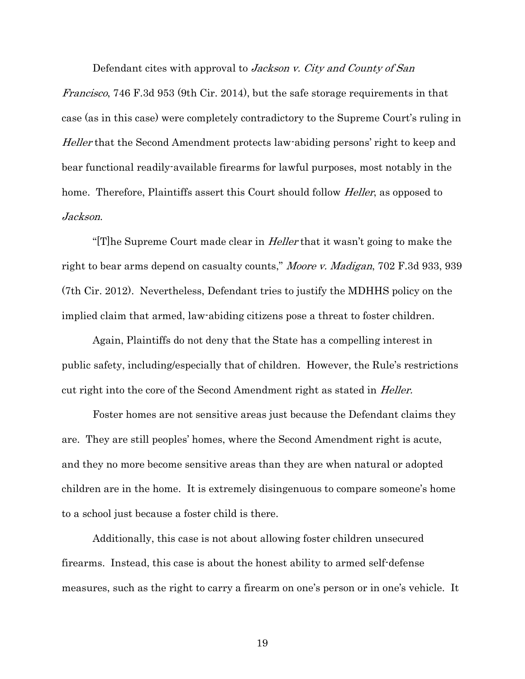Defendant cites with approval to *Jackson v. City and County of San* 

Francisco, 746 F.3d 953 (9th Cir. 2014), but the safe storage requirements in that case (as in this case) were completely contradictory to the Supreme Court's ruling in Heller that the Second Amendment protects law-abiding persons' right to keep and bear functional readily-available firearms for lawful purposes, most notably in the home. Therefore, Plaintiffs assert this Court should follow *Heller*, as opposed to Jackson.

" $[T]$ he Supreme Court made clear in *Heller* that it wasn't going to make the right to bear arms depend on casualty counts," Moore v. Madigan, 702 F.3d 933, 939 (7th Cir. 2012). Nevertheless, Defendant tries to justify the MDHHS policy on the implied claim that armed, law-abiding citizens pose a threat to foster children.

Again, Plaintiffs do not deny that the State has a compelling interest in public safety, including/especially that of children. However, the Rule's restrictions cut right into the core of the Second Amendment right as stated in *Heller*.

Foster homes are not sensitive areas just because the Defendant claims they are. They are still peoples' homes, where the Second Amendment right is acute, and they no more become sensitive areas than they are when natural or adopted children are in the home. It is extremely disingenuous to compare someone's home to a school just because a foster child is there.

Additionally, this case is not about allowing foster children unsecured firearms. Instead, this case is about the honest ability to armed self-defense measures, such as the right to carry a firearm on one's person or in one's vehicle. It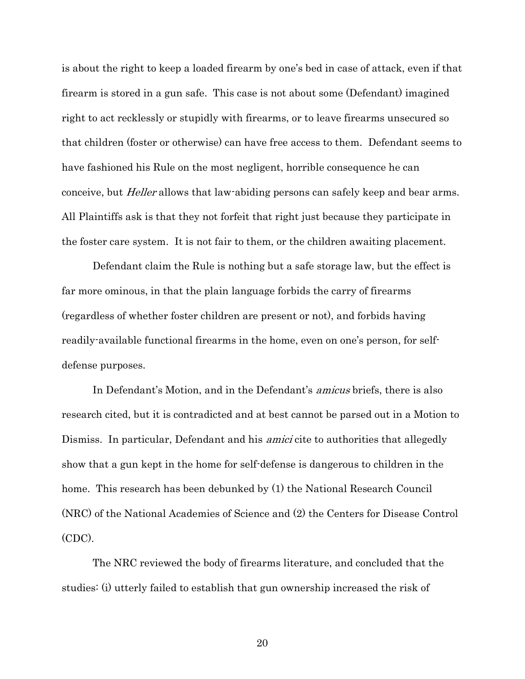is about the right to keep a loaded firearm by one's bed in case of attack, even if that firearm is stored in a gun safe. This case is not about some (Defendant) imagined right to act recklessly or stupidly with firearms, or to leave firearms unsecured so that children (foster or otherwise) can have free access to them. Defendant seems to have fashioned his Rule on the most negligent, horrible consequence he can conceive, but *Heller* allows that law-abiding persons can safely keep and bear arms. All Plaintiffs ask is that they not forfeit that right just because they participate in the foster care system. It is not fair to them, or the children awaiting placement.

Defendant claim the Rule is nothing but a safe storage law, but the effect is far more ominous, in that the plain language forbids the carry of firearms (regardless of whether foster children are present or not), and forbids having readily-available functional firearms in the home, even on one's person, for selfdefense purposes.

In Defendant's Motion, and in the Defendant's *amicus* briefs, there is also research cited, but it is contradicted and at best cannot be parsed out in a Motion to Dismiss. In particular, Defendant and his *amici* cite to authorities that allegedly show that a gun kept in the home for self-defense is dangerous to children in the home. This research has been debunked by (1) the National Research Council (NRC) of the National Academies of Science and (2) the Centers for Disease Control (CDC).

The NRC reviewed the body of firearms literature, and concluded that the studies: (i) utterly failed to establish that gun ownership increased the risk of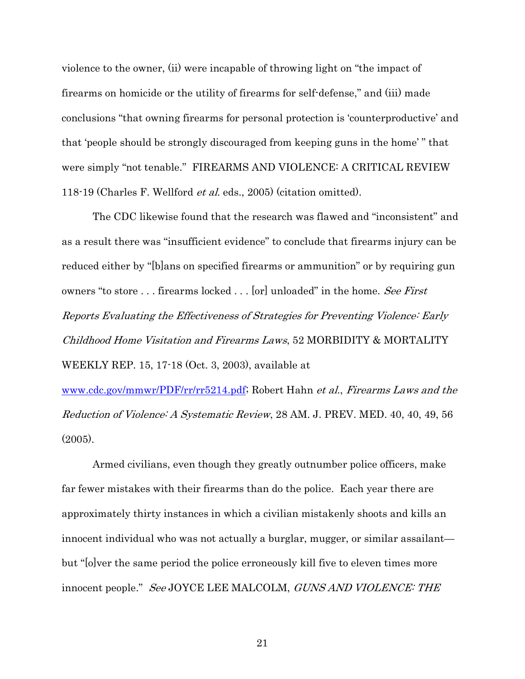violence to the owner, (ii) were incapable of throwing light on "the impact of firearms on homicide or the utility of firearms for self-defense," and (iii) made conclusions "that owning firearms for personal protection is 'counterproductive' and that 'people should be strongly discouraged from keeping guns in the home' " that were simply "not tenable." FIREARMS AND VIOLENCE: A CRITICAL REVIEW 118-19 (Charles F. Wellford et al. eds., 2005) (citation omitted).

The CDC likewise found that the research was flawed and "inconsistent" and as a result there was "insufficient evidence" to conclude that firearms injury can be reduced either by "[b]ans on specified firearms or ammunition" or by requiring gun owners "to store ... firearms locked ... [or] unloaded" in the home. See First Reports Evaluating the Effectiveness of Strategies for Preventing Violence: Early Childhood Home Visitation and Firearms Laws, 52 MORBIDITY & MORTALITY WEEKLY REP. 15, 17-18 (Oct. 3, 2003), available at

www.cdc.gov/mmwr/PDF/rr/rr5214.pdf; Robert Hahn et al., Firearms Laws and the Reduction of Violence: A Systematic Review, 28 AM. J. PREV. MED. 40, 40, 49, 56  $(2005)$ .

 Armed civilians, even though they greatly outnumber police officers, make far fewer mistakes with their firearms than do the police. Each year there are approximately thirty instances in which a civilian mistakenly shoots and kills an innocent individual who was not actually a burglar, mugger, or similar assailant but "[o]ver the same period the police erroneously kill five to eleven times more innocent people." See JOYCE LEE MALCOLM, GUNS AND VIOLENCE: THE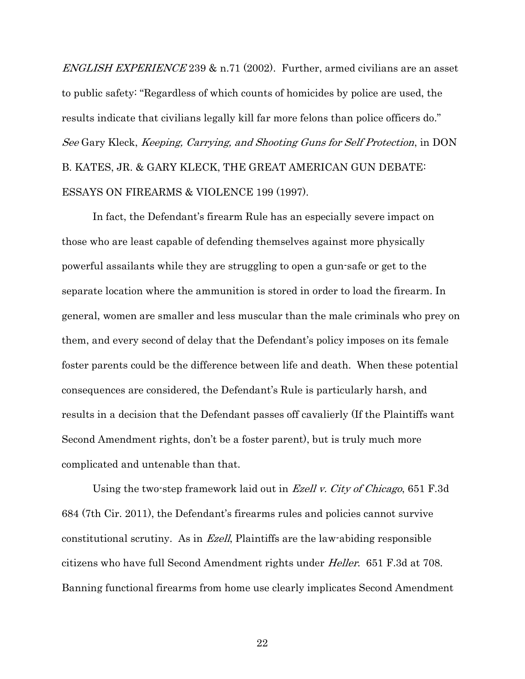*ENGLISH EXPERIENCE* 239 & n.71 (2002). Further, armed civilians are an asset to public safety: "Regardless of which counts of homicides by police are used, the results indicate that civilians legally kill far more felons than police officers do." See Gary Kleck, Keeping, Carrying, and Shooting Guns for Self Protection, in DON B. KATES, JR. & GARY KLECK, THE GREAT AMERICAN GUN DEBATE: ESSAYS ON FIREARMS & VIOLENCE 199 (1997).

In fact, the Defendant's firearm Rule has an especially severe impact on those who are least capable of defending themselves against more physically powerful assailants while they are struggling to open a gun-safe or get to the separate location where the ammunition is stored in order to load the firearm. In general, women are smaller and less muscular than the male criminals who prey on them, and every second of delay that the Defendant's policy imposes on its female foster parents could be the difference between life and death. When these potential consequences are considered, the Defendant's Rule is particularly harsh, and results in a decision that the Defendant passes off cavalierly (If the Plaintiffs want Second Amendment rights, don't be a foster parent), but is truly much more complicated and untenable than that.

Using the two-step framework laid out in Ezell v. City of Chicago, 651 F.3d 684 (7th Cir. 2011), the Defendant's firearms rules and policies cannot survive constitutional scrutiny. As in Ezell, Plaintiffs are the law-abiding responsible citizens who have full Second Amendment rights under Heller. 651 F.3d at 708. Banning functional firearms from home use clearly implicates Second Amendment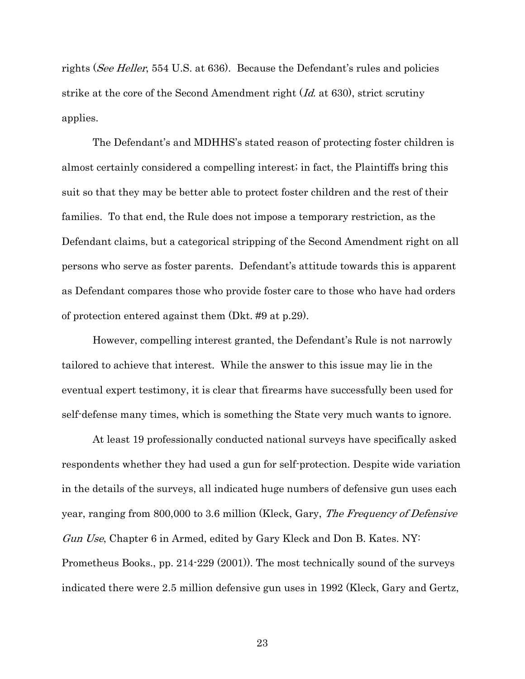rights (See Heller, 554 U.S. at 636). Because the Defendant's rules and policies strike at the core of the Second Amendment right (Id. at 630), strict scrutiny applies.

 The Defendant's and MDHHS's stated reason of protecting foster children is almost certainly considered a compelling interest; in fact, the Plaintiffs bring this suit so that they may be better able to protect foster children and the rest of their families. To that end, the Rule does not impose a temporary restriction, as the Defendant claims, but a categorical stripping of the Second Amendment right on all persons who serve as foster parents. Defendant's attitude towards this is apparent as Defendant compares those who provide foster care to those who have had orders of protection entered against them (Dkt. #9 at p.29).

However, compelling interest granted, the Defendant's Rule is not narrowly tailored to achieve that interest. While the answer to this issue may lie in the eventual expert testimony, it is clear that firearms have successfully been used for self-defense many times, which is something the State very much wants to ignore.

At least 19 professionally conducted national surveys have specifically asked respondents whether they had used a gun for self-protection. Despite wide variation in the details of the surveys, all indicated huge numbers of defensive gun uses each year, ranging from 800,000 to 3.6 million (Kleck, Gary, The Frequency of Defensive Gun Use, Chapter 6 in Armed, edited by Gary Kleck and Don B. Kates. NY: Prometheus Books., pp. 214-229 (2001)). The most technically sound of the surveys indicated there were 2.5 million defensive gun uses in 1992 (Kleck, Gary and Gertz,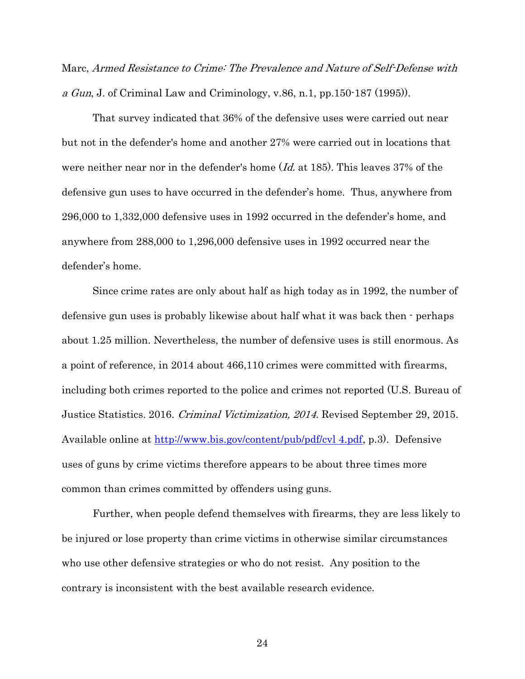Marc, Armed Resistance to Crime: The Prevalence and Nature of Self-Defense with a Gun, J. of Criminal Law and Criminology, v.86, n.1, pp.  $150-187$  (1995)).

That survey indicated that 36% of the defensive uses were carried out near but not in the defender's home and another 27% were carried out in locations that were neither near nor in the defender's home  $Id$ , at 185). This leaves 37% of the defensive gun uses to have occurred in the defender's home. Thus, anywhere from 296,000 to 1,332,000 defensive uses in 1992 occurred in the defender's home, and anywhere from 288,000 to 1,296,000 defensive uses in 1992 occurred near the defender's home.

Since crime rates are only about half as high today as in 1992, the number of defensive gun uses is probably likewise about half what it was back then - perhaps about 1.25 million. Nevertheless, the number of defensive uses is still enormous. As a point of reference, in 2014 about 466,110 crimes were committed with firearms, including both crimes reported to the police and crimes not reported (U.S. Bureau of Justice Statistics. 2016. Criminal Victimization, 2014. Revised September 29, 2015. Available online at http://www.bis.gov/content/pub/pdf/cvl 4.pdf, p.3). Defensive uses of guns by crime victims therefore appears to be about three times more common than crimes committed by offenders using guns.

Further, when people defend themselves with firearms, they are less likely to be injured or lose property than crime victims in otherwise similar circumstances who use other defensive strategies or who do not resist. Any position to the contrary is inconsistent with the best available research evidence.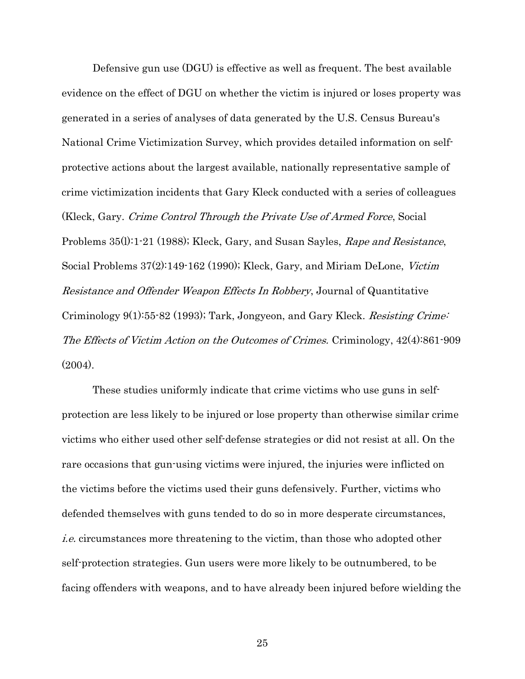Defensive gun use (DGU) is effective as well as frequent. The best available evidence on the effect of DGU on whether the victim is injured or loses property was generated in a series of analyses of data generated by the U.S. Census Bureau's National Crime Victimization Survey, which provides detailed information on selfprotective actions about the largest available, nationally representative sample of crime victimization incidents that Gary Kleck conducted with a series of colleagues (Kleck, Gary. Crime Control Through the Private Use of Armed Force, Social Problems 35(1):1-21 (1988); Kleck, Gary, and Susan Sayles, Rape and Resistance, Social Problems 37(2):149-162 (1990); Kleck, Gary, and Miriam DeLone, Victim Resistance and Offender Weapon Effects In Robbery, Journal of Quantitative Criminology 9(1):55-82 (1993); Tark, Jongyeon, and Gary Kleck. Resisting Crime: The Effects of Victim Action on the Outcomes of Crimes. Criminology, 42(4):861-909  $(2004)$ .

These studies uniformly indicate that crime victims who use guns in selfprotection are less likely to be injured or lose property than otherwise similar crime victims who either used other self-defense strategies or did not resist at all. On the rare occasions that gun-using victims were injured, the injuries were inflicted on the victims before the victims used their guns defensively. Further, victims who defended themselves with guns tended to do so in more desperate circumstances, i.e. circumstances more threatening to the victim, than those who adopted other self-protection strategies. Gun users were more likely to be outnumbered, to be facing offenders with weapons, and to have already been injured before wielding the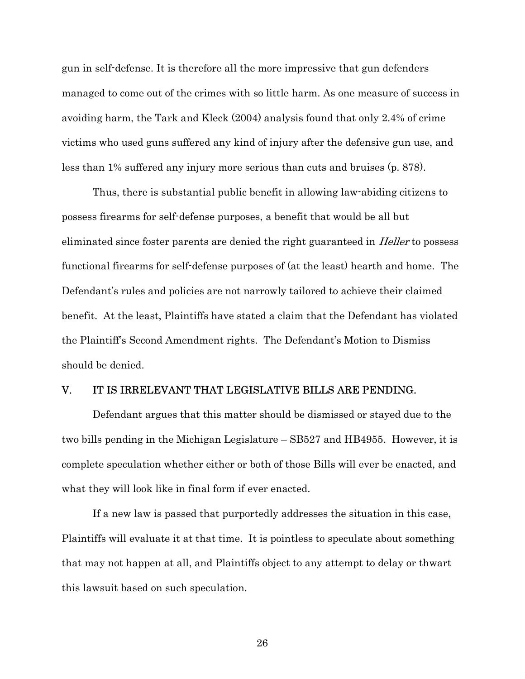gun in self-defense. It is therefore all the more impressive that gun defenders managed to come out of the crimes with so little harm. As one measure of success in avoiding harm, the Tark and Kleck (2004) analysis found that only 2.4% of crime victims who used guns suffered any kind of injury after the defensive gun use, and less than 1% suffered any injury more serious than cuts and bruises (p. 878).

Thus, there is substantial public benefit in allowing law-abiding citizens to possess firearms for self-defense purposes, a benefit that would be all but eliminated since foster parents are denied the right guaranteed in *Heller* to possess functional firearms for self-defense purposes of (at the least) hearth and home. The Defendant's rules and policies are not narrowly tailored to achieve their claimed benefit. At the least, Plaintiffs have stated a claim that the Defendant has violated the Plaintiff's Second Amendment rights. The Defendant's Motion to Dismiss should be denied.

#### V. IT IS IRRELEVANT THAT LEGISLATIVE BILLS ARE PENDING.

Defendant argues that this matter should be dismissed or stayed due to the two bills pending in the Michigan Legislature – SB527 and HB4955. However, it is complete speculation whether either or both of those Bills will ever be enacted, and what they will look like in final form if ever enacted.

If a new law is passed that purportedly addresses the situation in this case, Plaintiffs will evaluate it at that time. It is pointless to speculate about something that may not happen at all, and Plaintiffs object to any attempt to delay or thwart this lawsuit based on such speculation.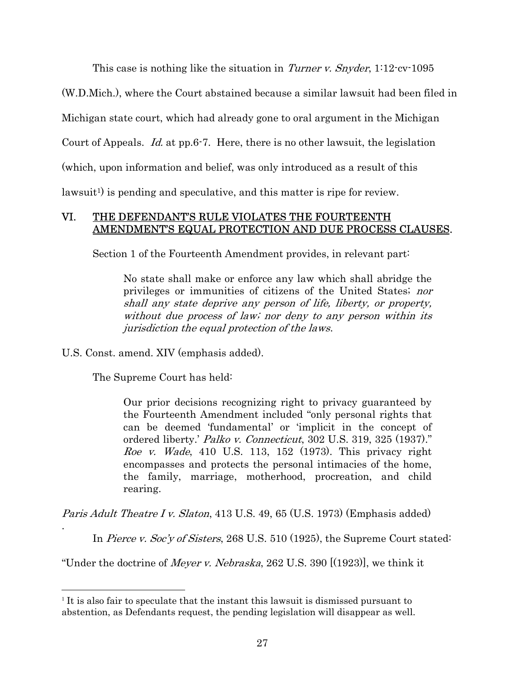This case is nothing like the situation in Turner v. Snyder, 1:12-cv-1095

(W.D.Mich.), where the Court abstained because a similar lawsuit had been filed in

Michigan state court, which had already gone to oral argument in the Michigan

Court of Appeals. Id. at pp.6-7. Here, there is no other lawsuit, the legislation

(which, upon information and belief, was only introduced as a result of this

lawsuit<sup>1</sup>) is pending and speculative, and this matter is ripe for review.

## VI. THE DEFENDANT'S RULE VIOLATES THE FOURTEENTH AMENDMENT'S EQUAL PROTECTION AND DUE PROCESS CLAUSES.

Section 1 of the Fourteenth Amendment provides, in relevant part:

No state shall make or enforce any law which shall abridge the privileges or immunities of citizens of the United States; nor shall any state deprive any person of life, liberty, or property, without due process of law; nor deny to any person within its jurisdiction the equal protection of the laws.

U.S. Const. amend. XIV (emphasis added).

The Supreme Court has held:

.

 $\overline{a}$ 

Our prior decisions recognizing right to privacy guaranteed by the Fourteenth Amendment included "only personal rights that can be deemed 'fundamental' or 'implicit in the concept of ordered liberty.' Palko v. Connecticut, 302 U.S. 319, 325 (1937)." *Roe v. Wade*, 410 U.S. 113, 152 (1973). This privacy right encompasses and protects the personal intimacies of the home, the family, marriage, motherhood, procreation, and child rearing.

Paris Adult Theatre I v. Slaton, 413 U.S. 49, 65 (U.S. 1973) (Emphasis added)

In *Pierce v. Soc'y of Sisters*, 268 U.S. 510 (1925), the Supreme Court stated:

"Under the doctrine of *Meyer v. Nebraska*, 262 U.S. 390  $[(1923)]$ , we think it

<sup>1</sup> It is also fair to speculate that the instant this lawsuit is dismissed pursuant to abstention, as Defendants request, the pending legislation will disappear as well.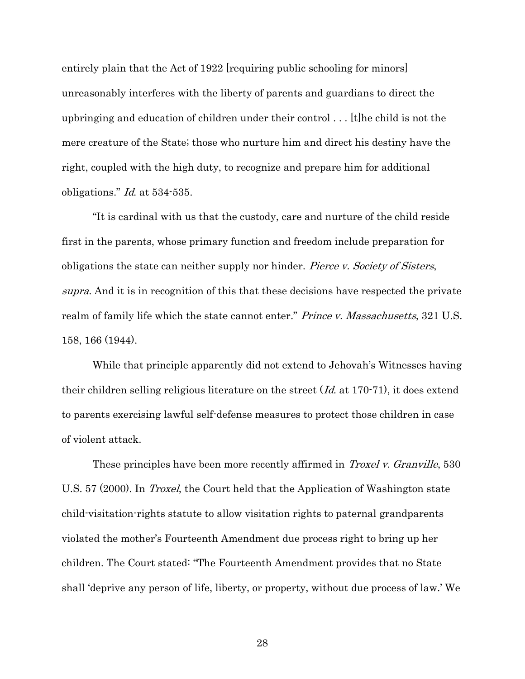entirely plain that the Act of 1922 [requiring public schooling for minors] unreasonably interferes with the liberty of parents and guardians to direct the upbringing and education of children under their control . . . [t]he child is not the mere creature of the State; those who nurture him and direct his destiny have the right, coupled with the high duty, to recognize and prepare him for additional obligations." Id. at 534-535.

"It is cardinal with us that the custody, care and nurture of the child reside first in the parents, whose primary function and freedom include preparation for obligations the state can neither supply nor hinder. *Pierce v. Society of Sisters*, supra. And it is in recognition of this that these decisions have respected the private realm of family life which the state cannot enter." Prince v. Massachusetts, 321 U.S. 158, 166 (1944).

While that principle apparently did not extend to Jehovah's Witnesses having their children selling religious literature on the street  $(Id$  at 170-71), it does extend to parents exercising lawful self-defense measures to protect those children in case of violent attack.

These principles have been more recently affirmed in *Troxel v. Granville*, 530 U.S. 57 (2000). In *Troxel*, the Court held that the Application of Washington state child-visitation-rights statute to allow visitation rights to paternal grandparents violated the mother's Fourteenth Amendment due process right to bring up her children. The Court stated: "The Fourteenth Amendment provides that no State shall 'deprive any person of life, liberty, or property, without due process of law.' We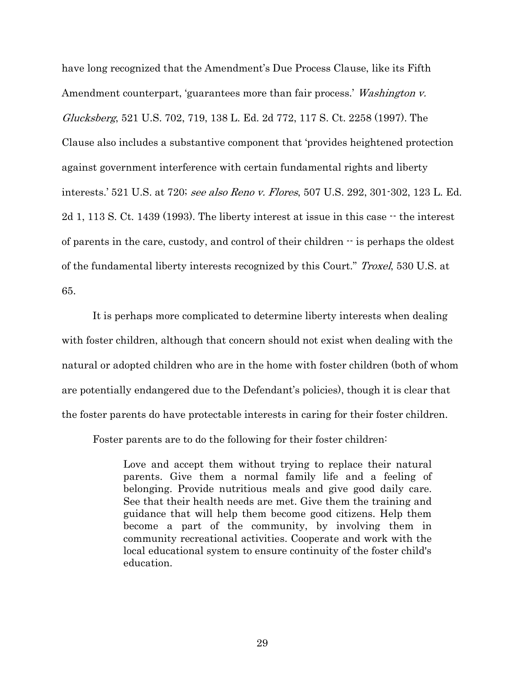have long recognized that the Amendment's Due Process Clause, like its Fifth Amendment counterpart, 'guarantees more than fair process.' Washington v. Glucksberg, 521 U.S. 702, 719, 138 L. Ed. 2d 772, 117 S. Ct. 2258 (1997). The Clause also includes a substantive component that 'provides heightened protection against government interference with certain fundamental rights and liberty interests.' 521 U.S. at 720; see also Reno v. Flores, 507 U.S. 292, 301-302, 123 L. Ed.  $2d$  1, 113 S. Ct. 1439 (1993). The liberty interest at issue in this case  $\cdot\cdot$  the interest of parents in the care, custody, and control of their children -- is perhaps the oldest of the fundamental liberty interests recognized by this Court." Troxel, 530 U.S. at 65.

It is perhaps more complicated to determine liberty interests when dealing with foster children, although that concern should not exist when dealing with the natural or adopted children who are in the home with foster children (both of whom are potentially endangered due to the Defendant's policies), though it is clear that the foster parents do have protectable interests in caring for their foster children.

Foster parents are to do the following for their foster children:

Love and accept them without trying to replace their natural parents. Give them a normal family life and a feeling of belonging. Provide nutritious meals and give good daily care. See that their health needs are met. Give them the training and guidance that will help them become good citizens. Help them become a part of the community, by involving them in community recreational activities. Cooperate and work with the local educational system to ensure continuity of the foster child's education.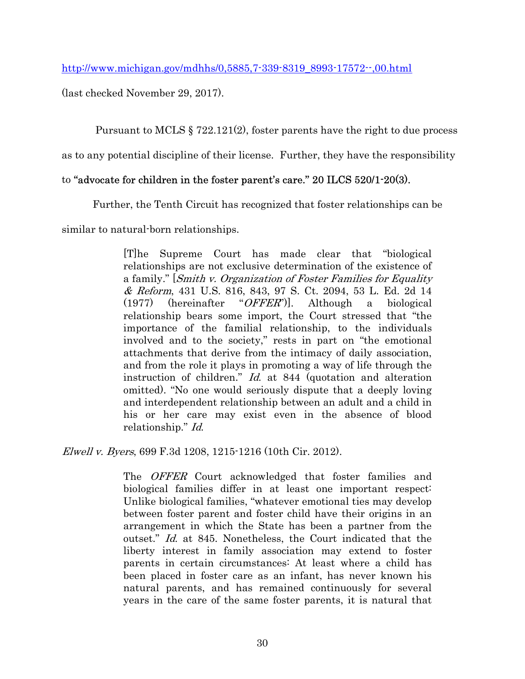http://www.michigan.gov/mdhhs/0,5885,7-339-8319\_8993-17572--,00.html

(last checked November 29, 2017).

Pursuant to MCLS § 722.121(2), foster parents have the right to due process

as to any potential discipline of their license. Further, they have the responsibility

## to "advocate for children in the foster parent's care." 20 ILCS 520/1-20(3).

Further, the Tenth Circuit has recognized that foster relationships can be

similar to natural-born relationships.

[T]he Supreme Court has made clear that "biological relationships are not exclusive determination of the existence of a family." [Smith v. Organization of Foster Families for Equality & Reform, 431 U.S. 816, 843, 97 S. Ct. 2094, 53 L. Ed. 2d 14 (1977) (hereinafter "OFFER")]. Although a biological relationship bears some import, the Court stressed that "the importance of the familial relationship, to the individuals involved and to the society," rests in part on "the emotional attachments that derive from the intimacy of daily association, and from the role it plays in promoting a way of life through the instruction of children." Id. at 844 (quotation and alteration omitted). "No one would seriously dispute that a deeply loving and interdependent relationship between an adult and a child in his or her care may exist even in the absence of blood relationship." Id.

Elwell v. Byers, 699 F.3d 1208, 1215-1216 (10th Cir. 2012).

The OFFER Court acknowledged that foster families and biological families differ in at least one important respect: Unlike biological families, "whatever emotional ties may develop between foster parent and foster child have their origins in an arrangement in which the State has been a partner from the outset." Id. at 845. Nonetheless, the Court indicated that the liberty interest in family association may extend to foster parents in certain circumstances: At least where a child has been placed in foster care as an infant, has never known his natural parents, and has remained continuously for several years in the care of the same foster parents, it is natural that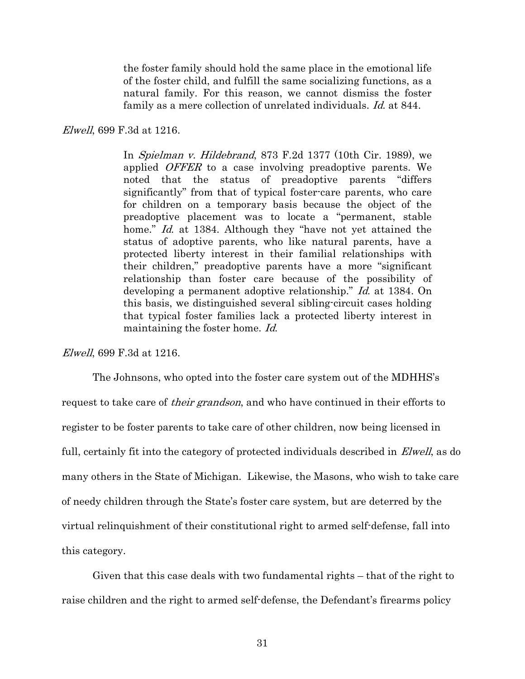the foster family should hold the same place in the emotional life of the foster child, and fulfill the same socializing functions, as a natural family. For this reason, we cannot dismiss the foster family as a mere collection of unrelated individuals. Id. at 844.

#### Elwell, 699 F.3d at 1216.

In Spielman v. Hildebrand, 873 F.2d 1377 (10th Cir. 1989), we applied *OFFER* to a case involving preadoptive parents. We noted that the status of preadoptive parents "differs significantly" from that of typical foster-care parents, who care for children on a temporary basis because the object of the preadoptive placement was to locate a "permanent, stable home." Id. at 1384. Although they "have not yet attained the status of adoptive parents, who like natural parents, have a protected liberty interest in their familial relationships with their children," preadoptive parents have a more "significant relationship than foster care because of the possibility of developing a permanent adoptive relationship." Id. at 1384. On this basis, we distinguished several sibling-circuit cases holding that typical foster families lack a protected liberty interest in maintaining the foster home. Id.

Elwell, 699 F.3d at 1216.

The Johnsons, who opted into the foster care system out of the MDHHS's request to take care of *their grandson*, and who have continued in their efforts to register to be foster parents to take care of other children, now being licensed in full, certainly fit into the category of protected individuals described in *Elwell*, as do many others in the State of Michigan. Likewise, the Masons, who wish to take care of needy children through the State's foster care system, but are deterred by the virtual relinquishment of their constitutional right to armed self-defense, fall into this category.

Given that this case deals with two fundamental rights – that of the right to raise children and the right to armed self-defense, the Defendant's firearms policy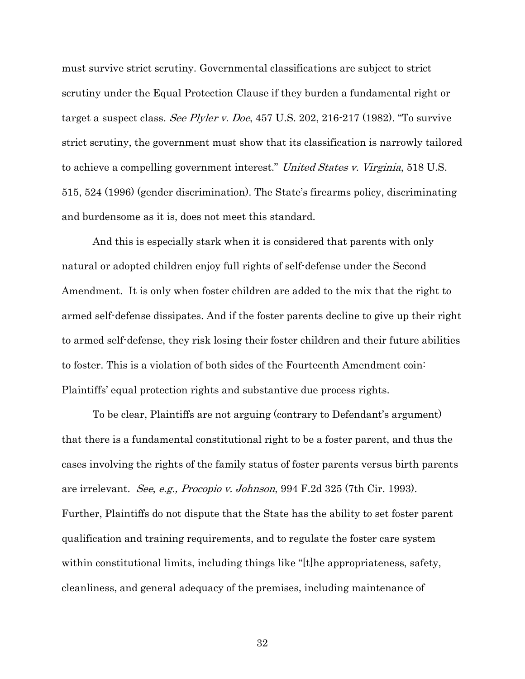must survive strict scrutiny. Governmental classifications are subject to strict scrutiny under the Equal Protection Clause if they burden a fundamental right or target a suspect class. See Plyler v. Doe, 457 U.S. 202, 216-217 (1982). "To survive strict scrutiny, the government must show that its classification is narrowly tailored to achieve a compelling government interest." United States v. Virginia, 518 U.S. 515, 524 (1996) (gender discrimination). The State's firearms policy, discriminating and burdensome as it is, does not meet this standard.

And this is especially stark when it is considered that parents with only natural or adopted children enjoy full rights of self-defense under the Second Amendment. It is only when foster children are added to the mix that the right to armed self-defense dissipates. And if the foster parents decline to give up their right to armed self-defense, they risk losing their foster children and their future abilities to foster. This is a violation of both sides of the Fourteenth Amendment coin: Plaintiffs' equal protection rights and substantive due process rights.

To be clear, Plaintiffs are not arguing (contrary to Defendant's argument) that there is a fundamental constitutional right to be a foster parent, and thus the cases involving the rights of the family status of foster parents versus birth parents are irrelevant. See, e.g., Procopio v. Johnson, 994 F.2d 325 (7th Cir. 1993). Further, Plaintiffs do not dispute that the State has the ability to set foster parent qualification and training requirements, and to regulate the foster care system within constitutional limits, including things like "[t]he appropriateness, safety, cleanliness, and general adequacy of the premises, including maintenance of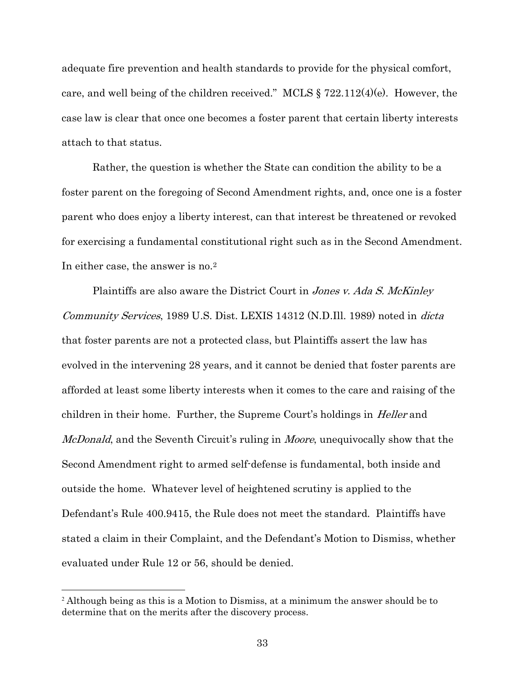adequate fire prevention and health standards to provide for the physical comfort, care, and well being of the children received." MCLS § 722.112(4)(e). However, the case law is clear that once one becomes a foster parent that certain liberty interests attach to that status.

Rather, the question is whether the State can condition the ability to be a foster parent on the foregoing of Second Amendment rights, and, once one is a foster parent who does enjoy a liberty interest, can that interest be threatened or revoked for exercising a fundamental constitutional right such as in the Second Amendment. In either case, the answer is no.<sup>2</sup>

Plaintiffs are also aware the District Court in *Jones v. Ada S. McKinley* Community Services, 1989 U.S. Dist. LEXIS 14312 (N.D.Ill. 1989) noted in dicta that foster parents are not a protected class, but Plaintiffs assert the law has evolved in the intervening 28 years, and it cannot be denied that foster parents are afforded at least some liberty interests when it comes to the care and raising of the children in their home. Further, the Supreme Court's holdings in Heller and *McDonald*, and the Seventh Circuit's ruling in *Moore*, unequivocally show that the Second Amendment right to armed self-defense is fundamental, both inside and outside the home. Whatever level of heightened scrutiny is applied to the Defendant's Rule 400.9415, the Rule does not meet the standard. Plaintiffs have stated a claim in their Complaint, and the Defendant's Motion to Dismiss, whether evaluated under Rule 12 or 56, should be denied.

 $\overline{a}$ 

<sup>&</sup>lt;sup>2</sup> Although being as this is a Motion to Dismiss, at a minimum the answer should be to determine that on the merits after the discovery process.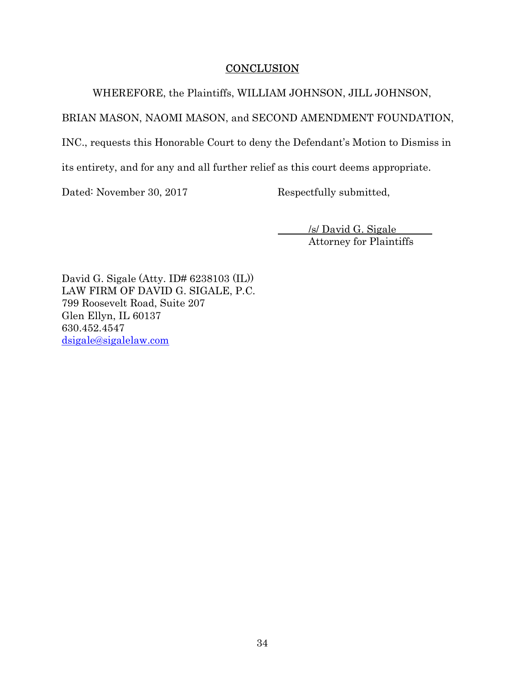## **CONCLUSION**

WHEREFORE, the Plaintiffs, WILLIAM JOHNSON, JILL JOHNSON,

BRIAN MASON, NAOMI MASON, and SECOND AMENDMENT FOUNDATION,

INC., requests this Honorable Court to deny the Defendant's Motion to Dismiss in

its entirety, and for any and all further relief as this court deems appropriate.

Dated: November 30, 2017 Respectfully submitted,

 /s/ David G. Sigale Attorney for Plaintiffs

David G. Sigale (Atty. ID# 6238103 (IL)) LAW FIRM OF DAVID G. SIGALE, P.C. 799 Roosevelt Road, Suite 207 Glen Ellyn, IL 60137 630.452.4547 dsigale@sigalelaw.com